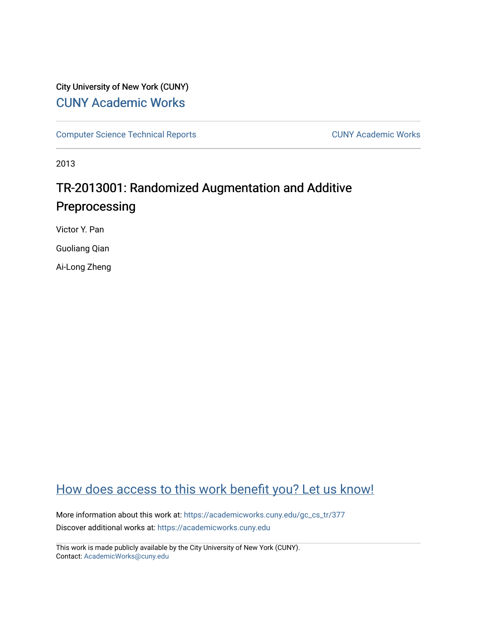# City University of New York (CUNY) [CUNY Academic Works](https://academicworks.cuny.edu/)

[Computer Science Technical Reports](https://academicworks.cuny.edu/gc_cs_tr) **CUNY Academic Works** CUNY Academic Works

2013

# TR-2013001: Randomized Augmentation and Additive Preprocessing

Victor Y. Pan

Guoliang Qian

Ai-Long Zheng

# [How does access to this work benefit you? Let us know!](http://ols.cuny.edu/academicworks/?ref=https://academicworks.cuny.edu/gc_cs_tr/377)

More information about this work at: https://academicworks.cuny.edu/gc\_cs\_tr/377 Discover additional works at: [https://academicworks.cuny.edu](https://academicworks.cuny.edu/?)

This work is made publicly available by the City University of New York (CUNY). Contact: [AcademicWorks@cuny.edu](mailto:AcademicWorks@cuny.edu)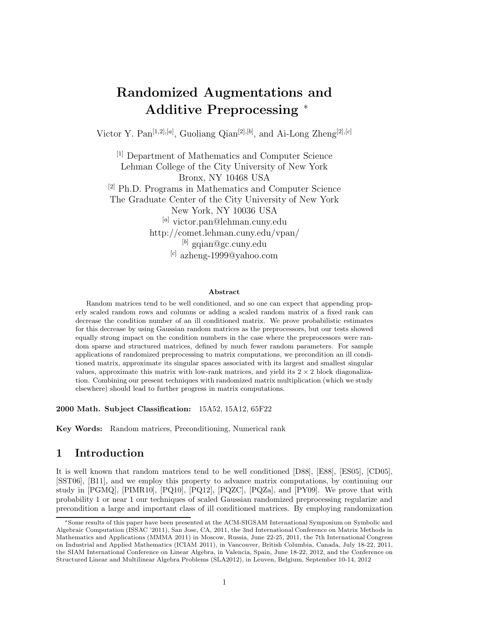# **Randomized Augmentations and Additive Preprocessing** <sup>∗</sup>

Victor Y. Pan[1*,*2]*,*[*a*] , Guoliang Qian[2]*,*[*b*] , and Ai-Long Zheng[2]*,*[*c*]

[1] Department of Mathematics and Computer Science Lehman College of the City University of New York Bronx, NY 10468 USA [2] Ph.D. Programs in Mathematics and Computer Science The Graduate Center of the City University of New York New York, NY 10036 USA [*a*] victor.pan@lehman.cuny.edu http://comet.lehman.cuny.edu/vpan/ [*b*] gqian@gc.cuny.edu [*c*] azheng-1999@yahoo.com

#### **Abstract**

Random matrices tend to be well conditioned, and so one can expect that appending properly scaled random rows and columns or adding a scaled random matrix of a fixed rank can decrease the condition number of an ill conditioned matrix. We prove probabilistic estimates for this decrease by using Gaussian random matrices as the preprocessors, but our tests showed equally strong impact on the condition numbers in the case where the preprocessors were random sparse and structured matrices, defined by much fewer random parameters. For sample applications of randomized preprocessing to matrix computations, we precondition an ill conditioned matrix, approximate its singular spaces associated with its largest and smallest singular values, approximate this matrix with low-rank matrices, and yield its  $2 \times 2$  block diagonalization. Combining our present techniques with randomized matrix multiplication (which we study elsewhere) should lead to further progress in matrix computations.

**2000 Math. Subject Classification:** 15A52, 15A12, 65F22

**Key Words:** Random matrices, Preconditioning, Numerical rank

# **1 Introduction**

It is well known that random matrices tend to be well conditioned [D88], [E88], [ES05], [CD05], [SST06], [B11], and we employ this property to advance matrix computations, by continuing our study in  $[PGMQ]$ ,  $[PIMR10]$ ,  $[PQ10]$ ,  $[PQ12]$ ,  $[PQZC]$ ,  $[PQZa]$ , and  $[PY09]$ . We prove that with probability 1 or near 1 our techniques of scaled Gaussian randomized preprocessing regularize and precondition a large and important class of ill conditioned matrices. By employing randomization

Some results of this paper have been presented at the ACM-SIGSAM International Symposium on Symbolic and Algebraic Computation (ISSAC '2011), San Jose, CA, 2011, the 3nd International Conference on Matrix Methods in Mathematics and Applications (MMMA 2011) in Moscow, Russia, June 22-25, 2011, the 7th International Congress on Industrial and Applied Mathematics (ICIAM 2011), in Vancouver, British Columbia, Canada, July 18-22, 2011, the SIAM International Conference on Linear Algebra, in Valencia, Spain, June 18-22, 2012, and the Conference on Structured Linear and Multilinear Algebra Problems (SLA2012), in Leuven, Belgium, September 10-14, 2012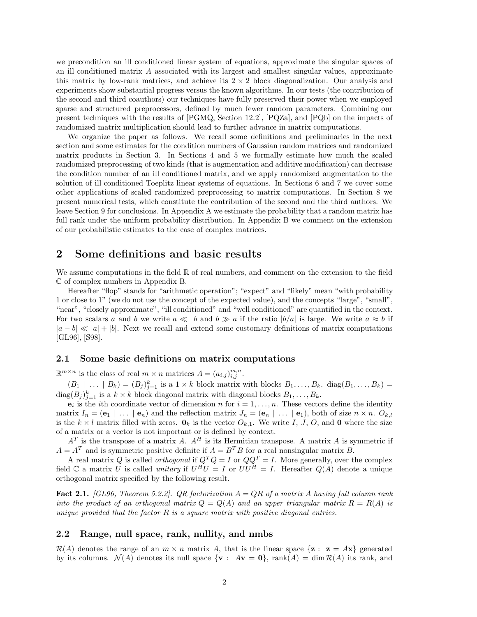we precondition an ill conditioned linear system of equations, approximate the singular spaces of an ill conditioned matrix *A* associated with its largest and smallest singular values, approximate this matrix by low-rank matrices, and achieve its  $2 \times 2$  block diagonalization. Our analysis and experiments show substantial progress versus the known algorithms. In our tests (the contribution of the second and third coauthors) our techniques have fully preserved their power when we employed sparse and structured preprocessors, defined by much fewer random parameters. Combining our present techniques with the results of [PGMQ, Section 12.2], [PQZa], and [PQb] on the impacts of randomized matrix multiplication should lead to further advance in matrix computations.

We organize the paper as follows. We recall some definitions and preliminaries in the next section and some estimates for the condition numbers of Gaussian random matrices and randomized matrix products in Section 3. In Sections 4 and 5 we formally estimate how much the scaled randomized preprocessing of two kinds (that is augmentation and additive modification) can decrease the condition number of an ill conditioned matrix, and we apply randomized augmentation to the solution of ill conditioned Toeplitz linear systems of equations. In Sections 6 and 7 we cover some other applications of scaled randomized preprocessing to matrix computations. In Section 8 we present numerical tests, which constitute the contribution of the second and the third authors. We leave Section 9 for conclusions. In Appendix A we estimate the probability that a random matrix has full rank under the uniform probability distribution. In Appendix B we comment on the extension of our probabilistic estimates to the case of complex matrices.

# **2 Some definitions and basic results**

We assume computations in the field  $\mathbb R$  of real numbers, and comment on the extension to the field C of complex numbers in Appendix B.

Hereafter "flop" stands for "arithmetic operation"; "expect" and "likely" mean "with probability 1 or close to 1" (we do not use the concept of the expected value), and the concepts "large", "small", "near", "closely approximate", "ill conditioned" and "well conditioned" are quantified in the context. For two scalars *a* and *b* we write  $a \ll b$  and  $b \gg a$  if the ratio  $|b/a|$  is large. We write  $a \approx b$  if  $|a-b| \ll |a| + |b|$ . Next we recall and extend some customary definitions of matrix computations [GL96], [S98].

## **2.1 Some basic definitions on matrix computations**

 $\mathbb{R}^{m \times n}$  is the class of real  $m \times n$  matrices  $A = (a_{i,j})_{i,j}^{m,n}$ .

 $(B_1 \mid \ldots \mid B_k) = (B_j)_{j=1}^k$  is a  $1 \times k$  block matrix with blocks  $B_1, \ldots, B_k$ . diag $(B_1, \ldots, B_k)$  $\text{diag}(B_j)_{j=1}^k$  is a  $k \times k$  block diagonal matrix with diagonal blocks  $B_1, \ldots, B_k$ .

 $e_i$  is the *i*th coordinate vector of dimension *n* for  $i = 1, \ldots, n$ . These vectors define the identity matrix  $I_n = (\mathbf{e}_1 \mid \dots \mid \mathbf{e}_n)$  and the reflection matrix  $J_n = (\mathbf{e}_n \mid \dots \mid \mathbf{e}_1)$ , both of size  $n \times n$ .  $O_{k,l}$ is the  $k \times l$  matrix filled with zeros.  $\mathbf{0}_k$  is the vector  $O_{k,1}$ . We write  $I, J, O$ , and **0** where the size of a matrix or a vector is not important or is defined by context.

 $A<sup>T</sup>$  is the transpose of a matrix *A*.  $A<sup>H</sup>$  is its Hermitian transpose. A matrix *A* is symmetric if  $A = A^T$  and is symmetric positive definite if  $A = B^T B$  for a real nonsingular matrix *B*.

A real matrix *Q* is called *orthogonal* if  $Q^T Q = I$  or  $QQ^T = I$ . More generally, over the complex field  $\mathbb C$  a matrix *U* is called *unitary* if  $U^H U = I$  or  $UU^H = I$ . Hereafter  $Q(A)$  denote a unique orthogonal matrix specified by the following result.

**Fact 2.1.** *[GL96, Theorem 5.2.2]. QR factorization A* = *QR of a matrix A having full column rank into the product of an orthogonal matrix*  $Q = Q(A)$  *and an upper triangular matrix*  $R = R(A)$  *is unique provided that the factor R is a square matrix with positive diagonal entries.*

### **2.2 Range, null space, rank, nullity, and nmbs**

 $\mathcal{R}(A)$  denotes the range of an  $m \times n$  matrix A, that is the linear space  $\{z : z = Ax\}$  generated by its columns.  $\mathcal{N}(A)$  denotes its null space  $\{ \mathbf{v} : A\mathbf{v} = \mathbf{0} \}$ , rank $(A) = \dim \mathcal{R}(A)$  its rank, and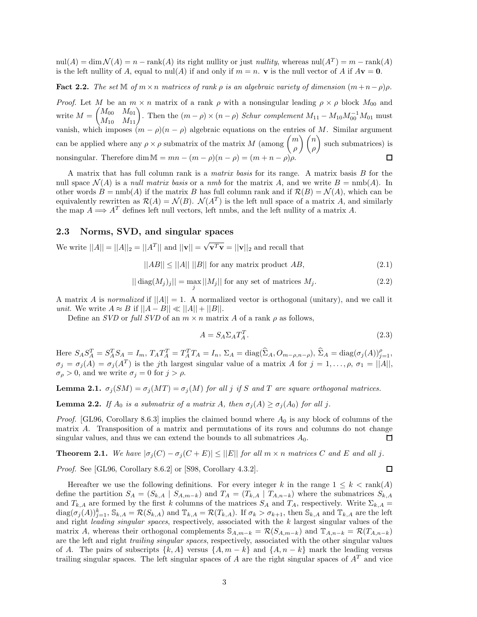$\text{null}(A) = \dim \mathcal{N}(A) = n - \text{rank}(A)$  its right nullity or just *nullity*, whereas  $\text{null}(A^T) = m - \text{rank}(A)$ is the left nullity of *A*, equal to nul(*A*) if and only if  $m = n$ . **v** is the null vector of *A* if  $A$ **v** = **0**.

**Fact 2.2.** *The set*  $\mathbb{M}$  *of*  $m \times n$  *matrices of rank*  $\rho$  *is an algebraic variety of dimension*  $(m+n-\rho)\rho$ *.* 

*Proof.* Let *M* be an  $m \times n$  matrix of a rank *ρ* with a nonsingular leading  $\rho \times \rho$  block  $M_{00}$  and  $M = \begin{pmatrix} M_{00} & M_{01} \ M_{10} & M_{11} \end{pmatrix}$ . Then the  $(m - \rho) \times (n - \rho)$  *Schur complement*  $M_{11} - M_{10} M_{00}^{-1} M_{01}$  must vanish, which imposes  $(m - \rho)(n - \rho)$  algebraic equations on the entries of M. Similar argument can be applied where any  $\rho \times \rho$  submatrix of the matrix *M* (among  $\binom{m}{n}$ *ρ* - *n ρ* - such submatrices) is nonsingular. Therefore dim  $M = mn - (m - \rho)(n - \rho) = (m + n - \rho)\rho$ .

A matrix that has full column rank is a *matrix basis* for its range. A matrix basis *B* for the null space  $\mathcal{N}(A)$  is a *null matrix basis* or a *nmb* for the matrix A, and we write  $B = \text{nmb}(A)$ . In other words  $B = \text{nmb}(A)$  if the matrix *B* has full column rank and if  $\mathcal{R}(B) = \mathcal{N}(A)$ , which can be equivalently rewritten as  $\mathcal{R}(A) = \mathcal{N}(B)$ .  $\mathcal{N}(A^T)$  is the left null space of a matrix *A*, and similarly the map  $A \Longrightarrow A^T$  defines left null vectors, left nmbs, and the left nullity of a matrix A.

### **2.3 Norms, SVD, and singular spaces**

We write  $||A|| = ||A||_2 = ||A^T||$  and  $||\mathbf{v}|| = \sqrt{\mathbf{v}^T \mathbf{v}} = ||\mathbf{v}||_2$  and recall that

 $||AB|| \le ||A|| ||B||$  for any matrix product *AB*, (2.1)

$$
||\operatorname{diag}(M_j)_j|| = \max_j ||M_j|| \text{ for any set of matrices } M_j. \tag{2.2}
$$

A matrix A is *normalized* if  $||A|| = 1$ . A normalized vector is orthogonal (unitary), and we call it *unit*. We write  $A \approx B$  if  $||A - B|| \ll ||A|| + ||B||$ .

Define an *SVD* or *full SVD* of an  $m \times n$  matrix *A* of a rank  $\rho$  as follows,

$$
A = S_A \Sigma_A T_A^T. \tag{2.3}
$$

 $\Box$ 

Here  $S_A S_A^T = S_A^T S_A = I_m$ ,  $T_A T_A^T = T_A^T T_A = I_n$ ,  $\Sigma_A = \text{diag}(\widehat{\Sigma}_A, O_{m-\rho,n-\rho}),$   $\widehat{\Sigma}_A = \text{diag}(\sigma_j(A))_{j=1}^{\rho}$ ,  $\sigma_j = \sigma_j(A) = \sigma_j(A^T)$  is the *j*th largest singular value of a matrix *A* for  $j = 1, \ldots, \rho, \sigma_1 = ||A||$ ,  $\sigma_{\rho} > 0$ , and we write  $\sigma_{j} = 0$  for  $j > \rho$ .

**Lemma 2.1.**  $\sigma_j(SM) = \sigma_j(MT) = \sigma_j(M)$  for all *j* if *S* and *T* are square orthogonal matrices.

**Lemma 2.2.** *If*  $A_0$  *is a submatrix of a matrix*  $A$ *, then*  $\sigma_j(A) \geq \sigma_j(A_0)$  *for all j.* 

*Proof.* [GL96, Corollary 8.6.3] implies the claimed bound where *A*<sup>0</sup> is any block of columns of the matrix *A*. Transposition of a matrix and permutations of its rows and columns do not change singular values, and thus we can extend the bounds to all submatrices  $A_0$ . П

**Theorem 2.1.** We have  $|\sigma_i(C) - \sigma_i(C + E)| \leq ||E||$  for all  $m \times n$  matrices C and E and all j.

*Proof.* See [GL96, Corollary 8.6.2] or [S98, Corollary 4.3.2].

Hereafter we use the following definitions. For every integer *k* in the range  $1 \leq k < \text{rank}(A)$ define the partition  $S_A = (S_{k,A} | S_{A,m-k})$  and  $T_A = (T_{k,A} | T_{A,n-k})$  where the submatrices  $S_{k,A}$ and  $T_{k,A}$  are formed by the first *k* columns of the matrices  $S_A$  and  $T_A$ , respectively. Write  $\Sigma_{k,A}$  =  $diag(\sigma_j(A))_{j=1}^k$ ,  $\mathbb{S}_{k,A} = \mathcal{R}(S_{k,A})$  and  $\mathbb{T}_{k,A} = \mathcal{R}(T_{k,A})$ . If  $\sigma_k > \sigma_{k+1}$ , then  $\mathbb{S}_{k,A}$  and  $\mathbb{T}_{k,A}$  are the left and right *leading singular spaces*, respectively, associated with the *k* largest singular values of the matrix *A*, whereas their orthogonal complements  $S_{A,m-k} = \mathcal{R}(S_{A,m-k})$  and  $\mathbb{T}_{A,n-k} = \mathcal{R}(T_{A,n-k})$ are the left and right *trailing singular spaces*, respectively, associated with the other singular values of *A*. The pairs of subscripts  $\{k, A\}$  versus  $\{A, m - k\}$  and  $\{A, n - k\}$  mark the leading versus trailing singular spaces. The left singular spaces of *A* are the right singular spaces of *A<sup>T</sup>* and vice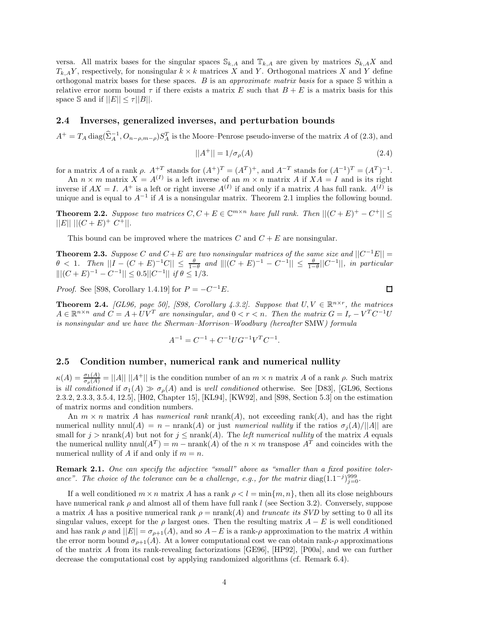versa. All matrix bases for the singular spaces  $\mathbb{S}_{k,A}$  and  $\mathbb{T}_{k,A}$  are given by matrices  $S_{k,A}X$  and  $T_{k,A}Y$ , respectively, for nonsingular  $k \times k$  matrices *X* and *Y*. Orthogonal matrices *X* and *Y* define orthogonal matrix bases for these spaces. *B* is an *approximate matrix basis* for a space S within a relative error norm bound  $\tau$  if there exists a matrix *E* such that  $B + E$  is a matrix basis for this space S and if  $||E|| \leq \tau ||B||$ .

### **2.4 Inverses, generalized inverses, and perturbation bounds**

 $A^+ = T_A \text{diag}(\hat{\Sigma}_A^{-1}, O_{n-\rho,m-\rho}) S_A^T$  is the Moore–Penrose pseudo-inverse of the matrix *A* of (2.3), and

$$
||A^{+}|| = 1/\sigma_{\rho}(A) \tag{2.4}
$$

for a matrix *A* of a rank  $\rho$ .  $A^{+T}$  stands for  $(A^{+})^{T} = (A^{T})^{+}$ , and  $A^{-T}$  stands for  $(A^{-1})^{T} = (A^{T})^{-1}$ .

An  $n \times m$  matrix  $X = A^{(I)}$  is a left inverse of an  $m \times n$  matrix A if  $XA = I$  and is its right inverse if  $AX = I$ .  $A^+$  is a left or right inverse  $A^{(I)}$  if and only if a matrix *A* has full rank.  $A^{(I)}$  is unique and is equal to  $A^{-1}$  if *A* is a nonsingular matrix. Theorem 2.1 implies the following bound.

**Theorem 2.2.** Suppose two matrices  $C, C + E \in \mathbb{C}^{m \times n}$  have full rank. Then  $||(C + E)^+ - C^+|| \le$  $||E|| ||(C+E)^{+} C^{+}||.$ 

This bound can be improved where the matrices *C* and *C* + *E* are nonsingular.

**Theorem 2.3.** *Suppose C* and  $C + E$  are two nonsingular matrices of the same size and  $||C^{-1}E|| =$  $\theta$  < 1*.* Then  $||I - (C + E)^{-1}C|| \le \frac{\theta}{1-\theta}$  and  $||[(C + E)^{-1} - C^{-1}|| \le \frac{\theta}{1-\theta}||C^{-1}||$ , in particular  $||(C + E)^{-1} - C^{-1}|| \le 0.5||C^{-1}||$  *if*  $\theta \le 1/3$ *.* 

*Proof.* See [S98, Corollary 1.4.19] for  $P = -C^{-1}E$ .

**Theorem 2.4.** *[GL96, page 50], [S98, Corollary 4.3.2]. Suppose that*  $U, V \in \mathbb{R}^{n \times r}$ *, the matrices*  $A \in \mathbb{R}^{n \times n}$  and  $C = A + UV^T$  are nonsingular, and  $0 < r < n$ . Then the matrix  $G = I_r - V^T C^{-1} U$ *is nonsingular and we have the Sherman–Morrison–Woodbury (hereafter* SMW*) formula*

$$
A^{-1} = C^{-1} + C^{-1} U G^{-1} V^T C^{-1}.
$$

### **2.5 Condition number, numerical rank and numerical nullity**

 $\kappa(A) = \frac{\sigma_1(A)}{\sigma_\rho(A)} = ||A|| \, ||A^+||$  is the condition number of an  $m \times n$  matrix *A* of a rank  $\rho$ . Such matrix is *ill conditioned* if  $\sigma_1(A) \gg \sigma_\rho(A)$  and is *well conditioned* otherwise. See [D83], [GL96, Sections 2.3.2, 2.3.3, 3.5.4, 12.5], [H02, Chapter 15], [KL94], [KW92], and [S98, Section 5.3] on the estimation of matrix norms and condition numbers.

An  $m \times n$  matrix *A* has *numerical rank* nrank(*A*), not exceeding rank(*A*), and has the right numerical nullity nnul(*A*) = *n* − nrank(*A*) or just *numerical nullity* if the ratios  $\sigma_i(A)/||A||$  are small for  $j > \text{nrank}(A)$  but not for  $j \leq \text{nrank}(A)$ . The *left numerical nullity* of the matrix A equals the numerical nullity nnul( $A^T$ ) =  $m - \text{nrank}(A)$  of the  $n \times m$  transpose  $A^T$  and coincides with the numerical nullity of  $A$  if and only if  $m = n$ .

**Remark 2.1.** *One can specify the adjective "small" above as "smaller than a fixed positive toler*ance". The choice of the tolerance can be a challenge, e.g., for the matrix diag(1.1<sup>-*j*)999</sup><sub>j=0</sub>.

If a well conditioned  $m \times n$  matrix *A* has a rank  $\rho < l = \min\{m, n\}$ , then all its close neighbours have numerical rank *ρ* and almost all of them have full rank *l* (see Section 3.2). Conversely, suppose a matrix *A* has a positive numerical rank  $\rho = \text{nrank}(A)$  and *truncate its SVD* by setting to 0 all its singular values, except for the  $\rho$  largest ones. Then the resulting matrix  $A - E$  is well conditioned and has rank  $\rho$  and  $||E|| = \sigma_{\rho+1}(A)$ , and so  $A - E$  is a rank- $\rho$  approximation to the matrix A within the error norm bound  $\sigma_{\rho+1}(A)$ . At a lower computational cost we can obtain rank- $\rho$  approximations of the matrix *A* from its rank-revealing factorizations [GE96], [HP92], [P00a], and we can further decrease the computational cost by applying randomized algorithms (cf. Remark 6.4).

 $\Box$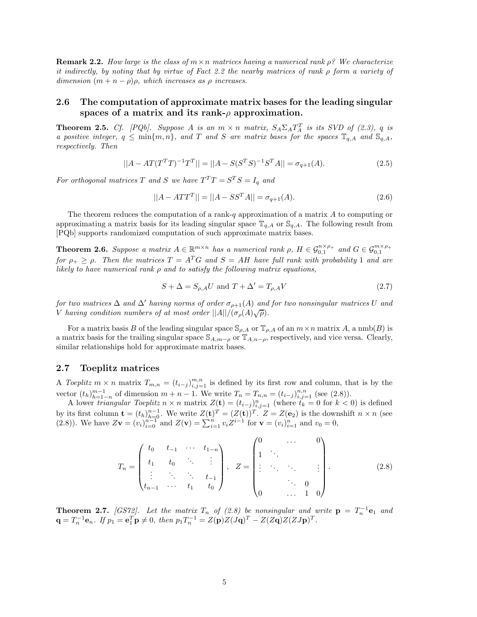**Remark 2.2.** *How large is the class of m*×*n matrices having a numerical rank ρ? We characterize it indirectly, by noting that by virtue of Fact 2.2 the nearby matrices of rank ρ form a variety of dimension*  $(m + n - \rho)\rho$ *, which increases as*  $\rho$  *increases.* 

## **2.6 The computation of approximate matrix bases for the leading singular spaces of a matrix and its rank-**ρ **approximation.**

**Theorem 2.5.** *Cf.* [PQb]. Suppose A is an  $m \times n$  matrix,  $S_A \Sigma_A T_A^T$  is its SVD of (2.3), q is *a positive integer,*  $q \leq \min\{m, n\}$ *, and T and S are matrix bases for the spaces*  $\mathbb{T}_{q,A}$  *and*  $\mathbb{S}_{q,A}$ *, respectively. Then*

$$
||A - AT(T^T T)^{-1}T^T|| = ||A - S(S^T S)^{-1}S^T A|| = \sigma_{q+1}(A). \tag{2.5}
$$

*For orthogonal matrices T* and *S* we have  $T^{T}T = S^{T}S = I_q$  and

$$
||A - ATTT|| = ||A - SSTA|| = \sigma_{q+1}(A).
$$
\n(2.6)

The theorem reduces the computation of a rank-*q* approximation of a matrix *A* to computing or approximating a matrix basis for its leading singular space  $\mathbb{T}_{q,A}$  or  $\mathbb{S}_{q,A}$ . The following result from [PQb] supports randomized computation of such approximate matrix bases.

**Theorem 2.6.** Suppose a matrix  $A \in \mathbb{R}^{m \times n}$  has a numerical rank  $\rho$ ,  $H \in \mathcal{G}_{0,1}^{n \times \rho_+}$  and  $G \in \mathcal{G}_{0,1}^{m \times \rho_+}$ *for*  $\rho_+ \geq \rho$ . Then the matrices  $T = A^T G$  and  $S = AH$  have full rank with probability 1 and are *likely to have numerical rank ρ and to satisfy the following matrix equations,*

$$
S + \Delta = S_{\rho,A} U \text{ and } T + \Delta' = T_{\rho,A} V \tag{2.7}
$$

*for two matrices*  $\Delta$  *and*  $\Delta'$  *having norms of order*  $\sigma_{\rho+1}(A)$  *and for two nonsingular matrices U and V having condition numbers of at most order*  $||A||/(\sigma_p(A)\sqrt{\rho})$ .

For a matrix basis *B* of the leading singular space  $\mathcal{S}_{\rho,A}$  or  $\mathbb{T}_{\rho,A}$  of an  $m \times n$  matrix *A*, a nmb(*B*) is a matrix basis for the trailing singular space  $\mathbb{S}_{A,m-\rho}$  or  $\mathbb{T}_{A,n-\rho}$ , respectively, and vice versa. Clearly, similar relationships hold for approximate matrix bases.

### **2.7 Toeplitz matrices**

A *Toeplitz*  $m \times n$  matrix  $T_{m,n} = (t_{i-j})_{i,j=1}^{m,n}$  is defined by its first row and column, that is by the vector  $(t_h)_{h=1-n}^{m-1}$  of dimension  $m + n - 1$ . We write  $T_n = T_{n,n} = (t_{i-j})_{i,j=1}^{n,n}$  (see (2.8)).

A lower *triangular Toeplitz*  $n \times n$  matrix  $Z(\mathbf{t}) = (t_{i-j})_{i,j=1}^n$  (where  $t_k = 0$  for  $k < 0$ ) is defined by its first column  $\mathbf{t} = (t_h)_{h=0}^{n-1}$ . We write  $Z(\mathbf{t})^T = (Z(\mathbf{t}))^T$ .  $Z = Z(\mathbf{e}_2)$  is the downshift  $n \times n$  (see (2.8)). We have  $Z\mathbf{v} = (v_i)_{i=0}^{n-1}$  and  $Z(\mathbf{v}) = \sum_{i=1}^{n} v_i Z^{i-1}$  for  $\mathbf{v} = (v_i)_{i=1}^{n}$  and  $v_0 = 0$ ,

$$
T_n = \begin{pmatrix} t_0 & t_{-1} & \cdots & t_{1-n} \\ t_1 & t_0 & \ddots & \vdots \\ \vdots & \ddots & \ddots & t_{-1} \\ t_{n-1} & \cdots & t_1 & t_0 \end{pmatrix}, \quad Z = \begin{pmatrix} 0 & \cdots & 0 \\ 1 & \ddots & & \\ \vdots & \ddots & \ddots & \vdots \\ 0 & \cdots & 1 & 0 \end{pmatrix}.
$$
 (2.8)

**Theorem 2.7.** *[GS72].* Let the matrix  $T_n$  of (2.8) be nonsingular and write  $p = T_n^{-1}e_1$  and  ${\bf q} = T_n^{-1} {\bf e}_n$ . If  $p_1 = {\bf e}_1^T {\bf p} \neq 0$ , then  $p_1 T_n^{-1} = Z({\bf p})Z(J{\bf q})^T - Z(Z{\bf q})Z(ZJ{\bf p})^T$ .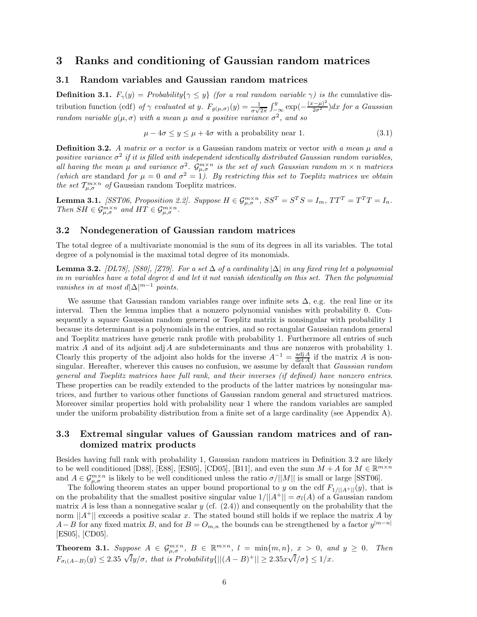# **3 Ranks and conditioning of Gaussian random matrices**

### **3.1 Random variables and Gaussian random matrices**

**Definition 3.1.**  $F_{\gamma}(y) = Probability\{\gamma \leq y\}$  (for a real random variable  $\gamma$ ) is the cumulative distribution function (cdf) of  $\gamma$  evaluated at y.  $F_{g(\mu,\sigma)}(y) = \frac{1}{\sigma\sqrt{2\pi}} \int_{-\infty}^{y} \exp(-\frac{(x-\mu)^2}{2\sigma^2}) dx$  for a Gaussian *random variable*  $g(\mu, \sigma)$  *with a mean*  $\mu$  *and a positive variance*  $\sigma^2$ *, and so* 

$$
\mu - 4\sigma \le y \le \mu + 4\sigma \text{ with a probability near 1.} \tag{3.1}
$$

**Definition 3.2.** *A matrix or a vector is a* Gaussian random matrix or vector *with a mean µ and a positive variance*  $\sigma^2$  *if it is filled with independent identically distributed Gaussian random variables,*  $I_0$ *all having the mean*  $\mu$  *and variance*  $\sigma^2$ *.*  $\mathcal{G}_{\mu,\sigma}^{m\times n}$  *is the set of such Gaussian random*  $m \times n$  *matrices (which are* standard *for*  $\mu = 0$  *and*  $\sigma^2 = 1$ *). By restricting this set to Toeplitz matrices we obtain the set*  $T_{\mu,\sigma}^{m\times n}$  *of* Gaussian random Toeplitz matrices.

**Lemma 3.1.** [SST06, Proposition 2.2]. Suppose  $H \in \mathcal{G}_{\mu,\sigma}^{m \times n}$ ,  $SS^T = S^T S = I_m$ ,  $TT^T = T^T T = I_n$ . *Then*  $SH \in \mathcal{G}_{\mu,\sigma}^{m \times n}$  *and*  $HT \in \mathcal{G}_{\mu,\sigma}^{m \times n}$ *.* 

## **3.2 Nondegeneration of Gaussian random matrices**

The total degree of a multivariate monomial is the sum of its degrees in all its variables. The total degree of a polynomial is the maximal total degree of its monomials.

**Lemma 3.2.** *[DL78], [S80], [Z79]. For a set* ∆ *of a cardinality* |∆| *in any fixed ring let a polynomial in m variables have a total degree d and let it not vanish identically on this set. Then the polynomial vanishes in at most*  $d|\Delta|^{m-1}$  *points.* 

We assume that Gaussian random variables range over infinite sets  $\Delta$ , e.g. the real line or its interval. Then the lemma implies that a nonzero polynomial vanishes with probability 0. Consequently a square Gaussian random general or Toeplitz matrix is nonsingular with probability 1 because its determinant is a polynomials in the entries, and so rectangular Gaussian random general and Toeplitz matrices have generic rank profile with probability 1. Furthermore all entries of such matrix *A* and of its adjoint adj*A* are subdeterminants and thus are nonzeros with probability 1. Clearly this property of the adjoint also holds for the inverse  $A^{-1} = \frac{\text{adj }A}{\text{det }A}$  if the matrix *A* is nonsingular. Hereafter, wherever this causes no confusion, we assume by default that *Gaussian random general and Toeplitz matrices have full rank, and their inverses (if defined) have nonzero entries*. These properties can be readily extended to the products of the latter matrices by nonsingular matrices, and further to various other functions of Gaussian random general and structured matrices. Moreover similar properties hold with probability near 1 where the random variables are sampled under the uniform probability distribution from a finite set of a large cardinality (see Appendix A).

# **3.3 Extremal singular values of Gaussian random matrices and of randomized matrix products**

Besides having full rank with probability 1, Gaussian random matrices in Definition 3.2 are likely to be well conditioned [D88], [E88], [ES05], [CD05], [B11], and even the sum  $M + A$  for  $M \in \mathbb{R}^{m \times n}$ and  $A \in \mathcal{G}_{\mu,\sigma}^{m \times n}$  is likely to be well conditioned unless the ratio  $\sigma/||M||$  is small or large [SST06].

The following theorem states an upper bound proportional to *y* on the cdf  $F_{1/||A^+||}(y)$ , that is on the probability that the smallest positive singular value  $1/||A^+|| = \sigma_l(A)$  of a Gaussian random matrix *A* is less than a nonnegative scalar *y* (cf.  $(2.4)$ ) and consequently on the probability that the norm  $||A^+||$  exceeds a positive scalar *x*. The stated bound still holds if we replace the matrix *A* by *A*−*B* for any fixed matrix *B*, and for  $B = O_{m,n}$  the bounds can be strengthened by a factor  $y^{|m-n|}$ [ES05], [CD05].

**Theorem 3.1.** Suppose  $A \in \mathcal{G}_{\mu,\sigma}^{m \times n}$ ,  $B \in \mathbb{R}^{m \times n}$ ,  $l = \min\{m,n\}$ ,  $x > 0$ , and  $y \ge 0$ . Then  $F_{\sigma_l(A-B)}(y) \le 2.35 \sqrt{l}y/\sigma$ , that is Probability $\{||(A-B)^+|| \ge 2.35x\sqrt{l}/\sigma\} \le 1/x$ .  $l/\sigma\} \leq 1/x$ *.*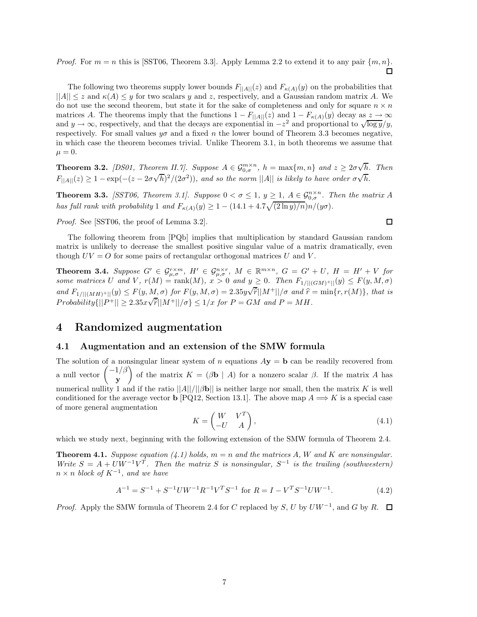*Proof.* For  $m = n$  this is [SST06, Theorem 3.3]. Apply Lemma 2.2 to extend it to any pair  $\{m, n\}$ . ◻

The following two theorems supply lower bounds  $F_{\vert A \vert \vert}(z)$  and  $F_{\kappa(A)}(y)$  on the probabilities that  $||A|| \leq z$  and  $\kappa(A) \leq y$  for two scalars y and z, respectively, and a Gaussian random matrix A. We do not use the second theorem, but state it for the sake of completeness and only for square  $n \times n$ matrices *A*. The theorems imply that the functions  $1 - F_{\vert A \vert \vert}(z)$  and  $1 - F_{\kappa(A)}(y)$  decay as  $z \to \infty$ and  $y \to \infty$ , respectively, and that the decays are exponential in  $-z^2$  and proportional to  $\sqrt{\log y}/y$ , respectively. For small values  $y\sigma$  and a fixed *n* the lower bound of Theorem 3.3 becomes negative, in which case the theorem becomes trivial. Unlike Theorem 3.1, in both theorems we assume that  $\mu = 0.$ 

**Theorem 3.2.** *[DS01, Theorem II.7]. Suppose*  $A \in \mathcal{G}_{0,\sigma}^{m \times n}$ ,  $h = \max\{m,n\}$  and  $z \geq 2\sigma\sqrt{n}$ *h. Then F*<sub>|</sub> $A$ <sub>|</sub> $|$ (*z*)  $\geq 1 - \exp(-(z - 2\sigma\sqrt{h})^2/(2\sigma^2))$ *, and so the norm* ||*A*|| *is likely to have order*  $\sigma\sqrt{h}$ *.* 

**Theorem 3.3.** *[SST06, Theorem 3.1]. Suppose*  $0 < \sigma \leq 1$ ,  $y \geq 1$ ,  $A \in \mathcal{G}_{0,\sigma}^{n \times n}$ . *Then the matrix A has full rank with probability* 1 *and*  $F_{\kappa(A)}(y) \geq 1 - (14.1 + 4.7\sqrt{(2 \ln y)/n})n/(y\sigma)$ .

*Proof.* See [SST06, the proof of Lemma 3.2].

The following theorem from [PQb] implies that multiplication by standard Gaussian random matrix is unlikely to decrease the smallest positive singular value of a matrix dramatically, even though  $UV = O$  for some pairs of rectangular orthogonal matrices  $U$  and  $V$ .

**Theorem 3.4.** Suppose  $G' \in \mathcal{G}_{\mu,\sigma}^{r\times m}$ ,  $H' \in \mathcal{G}_{\mu,\sigma}^{n\times r}$ ,  $M \in \mathbb{R}^{m\times n}$ ,  $G = G' + U$ ,  $H = H' + V$  for some matrices U and V,  $r(M) = \text{rank}(M)$ ,  $x > 0$  and  $y \ge 0$ . Then  $F_{1/||(GM)^+||}(y) \le F(y, M, \sigma)$ and  $F_{1/||(MH)^+||}(y) \leq F(y, M, \sigma)$  for  $F(y, M, \sigma) = 2.35y\sqrt{\tilde{r}}||M^+||/\sigma$  and  $\tilde{r} = \min\{r, r(M)\}\$ , that is  $Probability \{ ||P^+|| \geq 2.35 \times \sqrt{\hat{r}} ||M^+|| / \sigma \} \leq 1/x$  *for*  $P = GM$  *and*  $P = MH$ *.* 

# **4 Randomized augmentation**

## **4.1 Augmentation and an extension of the SMW formula**

The solution of a nonsingular linear system of *n* equations  $A$ **y** = **b** can be readily recovered from a null vector  $\begin{pmatrix} -1/\beta \\ -1 \end{pmatrix}$ **y** of the matrix  $K = (\beta \mathbf{b} \mid A)$  for a nonzero scalar  $\beta$ . If the matrix *A* has numerical nullity 1 and if the ratio  $||A||/||Bb||$  is neither large nor small, then the matrix *K* is well conditioned for the average vector **b** [PQ12, Section 13.1]. The above map  $A \implies K$  is a special case of more general augmentation

$$
K = \begin{pmatrix} W & V^T \\ -U & A \end{pmatrix},\tag{4.1}
$$

which we study next, beginning with the following extension of the SMW formula of Theorem 2.4.

**Theorem 4.1.** *Suppose equation (4.1) holds,*  $m = n$  *and the matrices*  $A$ *,*  $W$  *and*  $K$  *are nonsingular. Write*  $S = A + U W^{-1} V^T$ . Then the matrix *S* is nonsingular,  $S^{-1}$  is the trailing (southwestern)  $n \times n$  *block of*  $K^{-1}$ *, and we have* 

$$
A^{-1} = S^{-1} + S^{-1}UW^{-1}R^{-1}V^{T}S^{-1} \text{ for } R = I - V^{T}S^{-1}UW^{-1}.
$$
 (4.2)

*Proof.* Apply the SMW formula of Theorem 2.4 for *C* replaced by *S*, *U* by  $U W^{-1}$ , and *G* by *R*.  $\Box$ 

 $\square$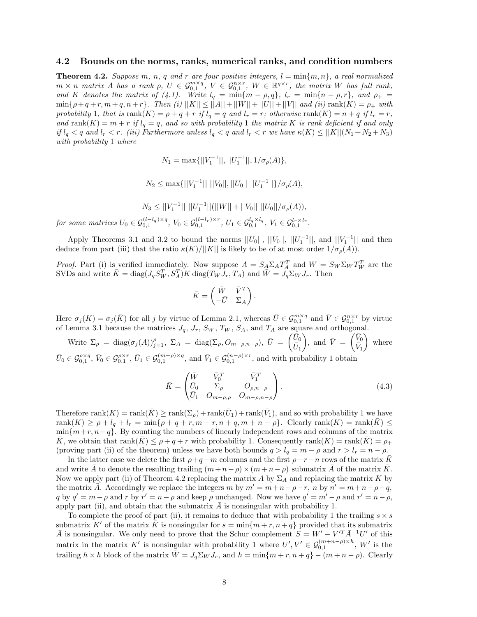#### **4.2 Bounds on the norms, ranks, numerical ranks, and condition numbers**

**Theorem 4.2.** Suppose  $m$ ,  $n$ ,  $q$  and  $r$  are four positive integers,  $l = \min\{m, n\}$ , a real normalized  $m \times n$  matrix A has a rank  $\rho$ ,  $U \in \mathcal{G}_{0,1}^{m \times q}$ ,  $V \in \mathcal{G}_{0,1}^{n \times r}$ ,  $W \in \mathbb{R}^{q \times r}$ , the matrix W has full rank, *and K denotes the matrix of (4.1). Write*  $l_q = \min\{m - \rho, q\}$ ,  $l_r = \min\{n - \rho, r\}$ , and  $\rho_+ =$  $\min\{\rho + q + r, m + q, n + r\}$ *. Then (i)*  $||K|| \leq ||A|| + ||W|| + ||U|| + ||V||$  *and (ii)*  $\text{rank}(K) = \rho_+$  *with* probability 1, that is  $\text{rank}(K) = \rho + q + r$  if  $l_q = q$  and  $l_r = r$ ; otherwise  $\text{rank}(K) = n + q$  if  $l_r = r$ ,  $and \text{ rank}(K) = m + r \text{ if } l_q = q$ , and so with probability 1 the matrix K is rank deficient if and only if  $l_q < q$  and  $l_r < r$ . (iii) Furthermore unless  $l_q < q$  and  $l_r < r$  we have  $\kappa(K) \leq ||K||(N_1 + N_2 + N_3)$ *with probability* 1 *where*

$$
N_1 = \max\{||V_1^{-1}||, ||U_1^{-1}||, 1/\sigma_\rho(A)\},\
$$

$$
N_2 \le \max\{||V_1^{-1}|| \, ||V_0||, ||U_0|| \, ||U_1^{-1}||\}/\sigma_\rho(A),
$$

$$
N_3 \le ||V_1^{-1}|| \, ||U_1^{-1}||(||W|| + ||V_0|| \, ||U_0||/\sigma_\rho(A)),
$$

for some matrices  $U_0 \in \mathcal{G}_{0,1}^{(l-l_q)\times q}$ ,  $V_0 \in \mathcal{G}_{0,1}^{(l-l_r)\times r}$ ,  $U_1 \in \mathcal{G}_{0,1}^{l_q \times l_q}$ ,  $V_1 \in \mathcal{G}_{0,1}^{l_r \times l_r}$ .

Apply Theorems 3.1 and 3.2 to bound the norms  $||U_0||$ ,  $||V_0||$ ,  $||U_1^{-1}||$ , and  $||V_1^{-1}||$  and then deduce from part (iii) that the ratio  $\kappa(K)/||K||$  is likely to be of at most order  $1/\sigma_{\rho}(A)$ ).

*Proof.* Part (i) is verified immediately. Now suppose  $A = S_A \Sigma_A T_A^T$  and  $W = S_W \Sigma_W T_W^T$  are the SVDs and write  $\bar{K} = \text{diag}(J_q S_W^T, S_A^T) K \text{ diag}(T_W J_r, T_A)$  and  $\bar{W} = \tilde{J}_q \Sigma_W J_r$ . Then

$$
\bar{K} = \begin{pmatrix} \bar{W} & \bar{V}^T \\ -\bar{U} & \Sigma_A \end{pmatrix}.
$$

Here  $\sigma_j(K) = \sigma_j(\bar{K})$  for all *j* by virtue of Lemma 2.1, whereas  $\bar{U} \in \mathcal{G}_{0,1}^{m \times q}$  and  $\bar{V} \in \mathcal{G}_{0,1}^{n \times r}$  by virtue of Lemma 3.1 because the matrices  $J_q$ ,  $J_r$ ,  $S_W$ ,  $T_W$ ,  $S_A$ , and  $T_A$  are square and orthogonal.

Write  $\Sigma_{\rho}$  = diag( $\sigma_j(A)$ ) $_{j=1}^{\rho}$ ,  $\Sigma_A$  = diag( $\Sigma_{\rho}$ ,  $O_{m-\rho,n-\rho}$ ),  $\bar{U} = \begin{pmatrix} \bar{U}_0 \\ \bar{U}_1 \end{pmatrix}$  $\bar{U}_1$ ), and  $\bar{V} = \begin{pmatrix} \bar{V}_0 \\ \bar{V}_I \end{pmatrix}$  $\bar{V}_1$ -where  $\bar{U}_0 \in \mathcal{G}_{0,1}^{\rho \times q}$ ,  $\bar{V}_0 \in \mathcal{G}_{0,1}^{\rho \times r}$ ,  $\bar{U}_1 \in \mathcal{G}_{0,1}^{(m-\rho)\times q}$ , and  $\bar{V}_1 \in \mathcal{G}_{0,1}^{(n-\rho)\times r}$ , and with probability 1 obtain

$$
\bar{K} = \begin{pmatrix} \bar{W} & \bar{V}_0^T & \bar{V}_1^T \\ \bar{U}_0 & \Sigma_{\rho} & O_{\rho, n-\rho} \\ \bar{U}_1 & O_{m-\rho, \rho} & O_{m-\rho, n-\rho} \end{pmatrix} .
$$
\n(4.3)

Therefore rank $(K) = \text{rank}(\overline{K}) \ge \text{rank}(\Sigma_o) + \text{rank}(\overline{U}_1) + \text{rank}(\overline{V}_1)$ , and so with probability 1 we have  $rank(K) \geq \rho + l_q + l_r = min\{\rho + q + r, m + r, n + q, m + n - \rho\}$ . Clearly rank $(K) = rank(\overline{K}) \leq$  $\min\{m+r, n+q\}$ . By counting the numbers of linearly independent rows and columns of the matrix  $\bar{K}$ , we obtain that rank $(\bar{K}) \leq \rho + q + r$  with probability 1. Consequently rank $(K) = \text{rank}(\bar{K}) = \rho_+$ (proving part (ii) of the theorem) unless we have both bounds  $q > l_q = m - \rho$  and  $r > l_r = n - \rho$ .

In the latter case we delete the first  $\rho + q - m$  columns and the first  $\rho + r - n$  rows of the matrix K and write *A* to denote the resulting trailing  $(m+n-\rho) \times (m+n-\rho)$  submatrix *A* of the matrix *K*. Now we apply part (ii) of Theorem 4.2 replacing the matrix *A* by Σ*<sup>A</sup>* and replacing the matrix *K* by the matrix  $\bar{A}$ . Accordingly we replace the integers  $m$  by  $m' = m + n - \rho - r$ ,  $n$  by  $n' = m + n - \rho - q$ , *q* by  $q' = m - \rho$  and *r* by  $r' = n - \rho$  and keep  $\rho$  unchanged. Now we have  $q' = m' - \rho$  and  $r' = n - \rho$ , apply part (ii), and obtain that the submatrix  $\tilde{A}$  is nonsingular with probability 1.

To complete the proof of part (ii), it remains to deduce that with probability 1 the trailing  $s \times s$ submatrix *K'* of the matrix *K* is nonsingular for  $s = \min\{m + r, n + q\}$  provided that its submatrix *A* is nonsingular. We only need to prove that the Schur complement  $S = W' - V'^T \overline{A}^{-1} U'$  of this matrix in the matrix *K'* is nonsingular with probability 1 where  $U', V' \in \mathcal{G}_{0,1}^{(m+n-\rho)\times h}$ ,  $W'$  is the trailing  $h \times h$  block of the matrix  $\overline{W} = J_q \Sigma_W J_r$ , and  $h = \min\{m + r, n + q\} - (m + n - \rho)$ . Clearly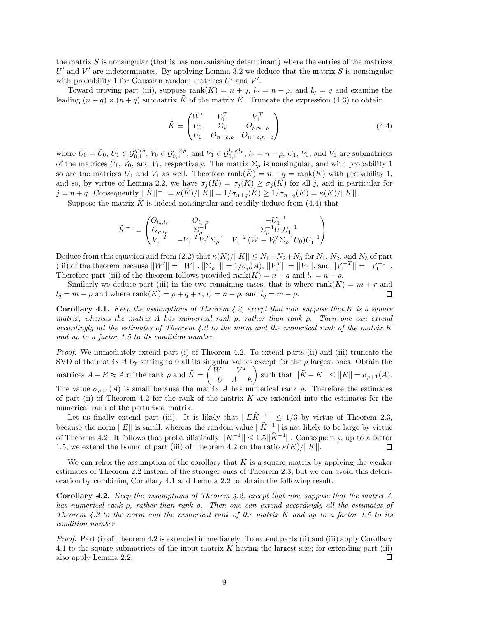the matrix *S* is nonsingular (that is has nonvanishing determinant) where the entries of the matrices  $U'$  and  $V'$  are indeterminates. By applying Lemma 3.2 we deduce that the matrix *S* is nonsingular with probability 1 for Gaussian random matrices  $U'$  and  $V'$ .

Toward proving part (iii), suppose rank( $K$ ) =  $n + q$ ,  $l_r = n - \rho$ , and  $l_q = q$  and examine the leading  $(n+q) \times (n+q)$  submatrix  $\tilde{K}$  of the matrix  $\tilde{K}$ . Truncate the expression (4.3) to obtain

$$
\tilde{K} = \begin{pmatrix} W' & V_0^T & V_1^T \\ U_0 & \Sigma_{\rho} & O_{\rho, n-\rho} \\ U_1 & O_{n-\rho, \rho} & O_{n-\rho, n-\rho} \end{pmatrix}
$$
\n(4.4)

where  $U_0 = \bar{U}_0$ ,  $U_1 \in \mathcal{G}_{0,1}^{q \times q}$ ,  $V_0 \in \mathcal{G}_{0,1}^{l_r \times \rho}$ , and  $V_1 \in \mathcal{G}_{0,1}^{l_r \times l_r}$ ,  $l_r = n - \rho$ ,  $U_1$ ,  $V_0$ , and  $V_1$  are submatrices of the matrices  $\bar{U}_1$ ,  $\bar{V}_0$ , and  $\bar{V}_1$ , respectively. The matrix  $\Sigma_\rho$  is nonsingular, and with probability 1 so are the matrices  $U_1$  and  $V_1$  as well. Therefore rank( $K$ ) =  $n + q$  = rank( $K$ ) with probability 1, and so, by virtue of Lemma 2.2, we have  $\sigma_j(K) = \sigma_j(K) \geq \sigma_j(K)$  for all *j*, and in particular for  $j = n + q$ . Consequently  $||\tilde{K}||^{-1} = \kappa(\tilde{K})/||\tilde{K}|| = 1/\sigma_{n+q}(\tilde{K}) \geq 1/\sigma_{n+q}(K) = \kappa(K)/||K||$ .

Suppose the matrix  $\tilde{K}$  is indeed nonsingular and readily deduce from (4.4) that

$$
\tilde{K}^{-1} = \begin{pmatrix} O_{l_q,l_r} & O_{l_q,\rho} & -U_1^{-1} \\ O_{\rho,l_r} & \Sigma_\rho^{-1} & -\Sigma_\rho^{-1} U_0 U_1^{-1} \\ V_1^{-T} & -V_1^{-T} V_0^T \Sigma_\rho^{-1} & V_1^{-T} (\bar{W} + V_0^T \Sigma_\rho^{-1} U_0) U_1^{-1} \end{pmatrix}.
$$

Deduce from this equation and from (2.2) that  $\kappa(K)/||K|| \leq N_1 + N_2 + N_3$  for  $N_1, N_2$ , and  $N_3$  of part (iii) of the theorem because  $||W'|| = ||W||$ ,  $||\Sigma_{\rho}^{-1}|| = 1/\sigma_{\rho}(A)$ ,  $||V_0^T|| = ||V_0||$ , and  $||V_1^{-T}|| = ||V_1^{-1}||$ . Therefore part (iii) of the theorem follows provided rank( $K$ ) =  $n + q$  and  $l_r = n - \rho$ .

Similarly we deduce part (iii) in the two remaining cases, that is where  $rank(K) = m + r$  and  $l_q = m - \rho$  and where  $\text{rank}(K) = \rho + q + r$ ,  $l_r = n - \rho$ , and  $l_q = m - \rho$ . □

**Corollary 4.1.** *Keep the assumptions of Theorem 4.2, except that now suppose that K is a square matrix, whereas the matrix A has numerical rank ρ, rather than rank ρ. Then one can extend accordingly all the estimates of Theorem 4.2 to the norm and the numerical rank of the matrix K and up to a factor 1.5 to its condition number.*

*Proof.* We immediately extend part (i) of Theorem 4.2. To extend parts (ii) and (iii) truncate the SVD of the matrix *A* by setting to 0 all its singular values except for the  $\rho$  largest ones. Obtain the  $M$   $H$   $H$   $\cong$  *A*  $\cong$  *A* of the rank *ρ* and  $\widehat{K} = \begin{pmatrix} W & V^T \\ -U & A \end{pmatrix}$ −*U A* − *E*  $\left| \int \text{such that } ||\hat{K} - K|| \leq ||E|| = \sigma_{\rho+1}(A).$ The value  $\sigma_{\rho+1}(A)$  is small because the matrix *A* has numerical rank  $\rho$ . Therefore the estimates of part (ii) of Theorem 4.2 for the rank of the matrix *K* are extended into the estimates for the numerical rank of the perturbed matrix.

Let us finally extend part (iii). It is likely that  $||E\hat{K}^{-1}|| \le 1/3$  by virtue of Theorem 2.3, because the norm  $||E||$  is small, whereas the random value  $||\hat{K}^{-1}||$  is not likely to be large by virtue of Theorem 4.2. It follows that probabilistically  $||K^{-1}|| \leq 1.5||\hat{K}^{-1}||$ . Consequently, up to a factor 1.5, we extend the bound of part (iii) of Theorem 4.2 on the ratio  $\kappa(K)/||K||$ .  $\Box$ 

We can relax the assumption of the corollary that *K* is a square matrix by applying the weaker estimates of Theorem 2.2 instead of the stronger ones of Theorem 2.3, but we can avoid this deterioration by combining Corollary 4.1 and Lemma 2.2 to obtain the following result.

**Corollary 4.2.** *Keep the assumptions of Theorem 4.2, except that now suppose that the matrix A has numerical rank ρ, rather than rank ρ. Then one can extend accordingly all the estimates of Theorem 4.2 to the norm and the numerical rank of the matrix K and up to a factor 1.5 to its condition number.*

*Proof.* Part (i) of Theorem 4.2 is extended immediately. To extend parts (ii) and (iii) apply Corollary 4.1 to the square submatrices of the input matrix *K* having the largest size; for extending part (iii) also apply Lemma 2.2. □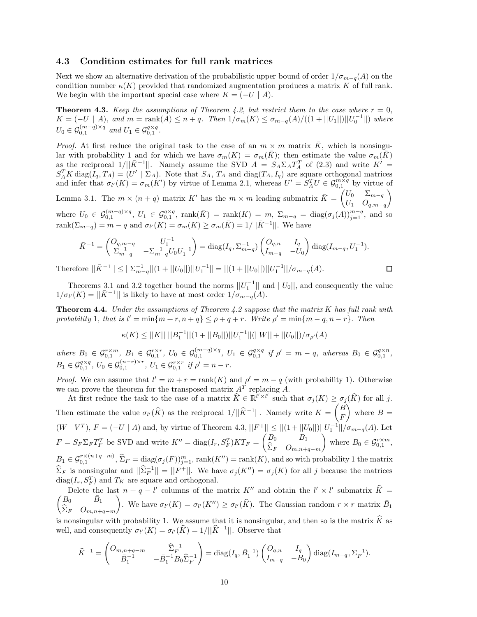### **4.3 Condition estimates for full rank matrices**

Next we show an alternative derivation of the probabilistic upper bound of order  $1/\sigma_{m-q}(A)$  on the condition number  $\kappa(K)$  provided that randomized augmentation produces a matrix K of full rank. We begin with the important special case where  $K = (-U \mid A)$ .

**Theorem 4.3.** *Keep the assumptions of Theorem 4.2, but restrict them to the case where*  $r = 0$ *,*  $K = (-U \mid A)$ , and  $m = \text{rank}(A) \leq n + q$ . Then  $1/\sigma_m(K) \leq \sigma_{m-q}(A)/((1 + ||U_1||)||U_0^{-1}||)$  where  $U_0 \in \mathcal{G}_{0,1}^{(m-q)\times q}$  and  $U_1 \in \mathcal{G}_{0,1}^{q\times q}$ .

*Proof.* At first reduce the original task to the case of an  $m \times m$  matrix  $\overline{K}$ , which is nonsingular with probability 1 and for which we have  $\sigma_m(K) = \sigma_m(\bar{K})$ ; then estimate the value  $\sigma_m(\bar{K})$ as the reciprocal  $1/||\bar{K}^{-1}||$ . Namely assume the SVD  $A = S_A \Sigma_A T_A^T$  of (2.3) and write  $K' =$  $S_A^T K \text{ diag}(I_q, T_A) = (U' | \Sigma_A)$ . Note that  $S_A$ ,  $T_A$  and diag( $T_A$ ,  $I_q$ ) are square orthogonal matrices and infer that  $\sigma_l(K) = \sigma_m(K')$  by virtue of Lemma 2.1, whereas  $U' = S_A^T U \in \mathcal{G}_{0,1}^{m \times q}$  by virtue of Lemma 3.1. The  $m \times (n + q)$  matrix K' has the  $m \times m$  leading submatrix  $\bar{K} = \begin{pmatrix} U_0 & \Sigma_{m-q} \\ I & Q \end{pmatrix}$ *U*<sup>1</sup> *Oq,m*−*<sup>q</sup>*  $\setminus$ 

where  $U_0 \in \mathcal{G}_{0,1}^{(m-q)\times q}$ ,  $U_1 \in \mathcal{G}_{0,1}^{q\times q}$ ,  $\text{rank}(\bar{K}) = \text{rank}(K) = m$ ,  $\Sigma_{m-q} = \text{diag}(\sigma_j(A))_{j=1}^{m-q}$ , and so rank $(\Sigma_{m-q}) = m - q$  and  $\sigma_{l'}(K) = \sigma_m(K) \geq \sigma_m(\bar{K}) = 1/||\bar{K}^{-1}||$ . We have

$$
\bar{K}^{-1} = \begin{pmatrix} O_{q,m-q} & U_1^{-1} \ \Sigma_{m-q}^{-1} & -\Sigma_{m-q}^{-1} U_0 U_1^{-1} \end{pmatrix} = \text{diag}(I_q, \Sigma_{m-q}^{-1}) \begin{pmatrix} O_{q,n} & I_q \ I_{m-q} & -U_0 \end{pmatrix} \text{diag}(I_{m-q}, U_1^{-1}).
$$

 $\Box$ 

Therefore  $||\bar{K}^{-1}|| \leq ||\Sigma_{m-q}^{-1}||(1 + ||U_0||)||U_1^{-1}|| = ||(1 + ||U_0||)||U_1^{-1}||/\sigma_{m-q}(A)$ .

Theorems 3.1 and 3.2 together bound the norms  $||U_1^{-1}||$  and  $||U_0||$ , and consequently the value  $1/\sigma_{l'}(K) = ||\bar{K}^{-1}||$  is likely to have at most order  $1/\sigma_{m-q}(A)$ .

**Theorem 4.4.** *Under the assumptions of Theorem 4.2 suppose that the matrix K has full rank with*  $p$ *robability* 1*, that is*  $l' = \min\{m + r, n + q\} \leq \rho + q + r$ *. Write*  $\rho' = \min\{m - q, n - r\}$ *. Then* 

$$
\kappa(K) \le ||K|| \, ||B_1^{-1}||(1 + ||B_0||)||U_1^{-1}||(||W|| + ||U_0||)/\sigma_{\rho'}(A)
$$

where  $B_0 \in \mathcal{G}_{0,1}^{r \times m}$ ,  $B_1 \in \mathcal{G}_{0,1}^{r \times r}$ ,  $U_0 \in \mathcal{G}_{0,1}^{(m-q) \times q}$ ,  $U_1 \in \mathcal{G}_{0,1}^{q \times q}$  if  $\rho' = m - q$ , whereas  $B_0 \in \mathcal{G}_{0,1}^{q \times n}$ ,  $B_1 \in \mathcal{G}_{0,1}^{q \times q}, U_0 \in \mathcal{G}_{0,1}^{(n-r) \times r}, U_1 \in \mathcal{G}_{0,1}^{r \times r}$  if  $\rho' = n - r$ .

*Proof.* We can assume that  $l' = m + r = \text{rank}(K)$  and  $\rho' = m - q$  (with probability 1). Otherwise we can prove the theorem for the transposed matrix *A<sup>T</sup>* replacing *A*.

At first reduce the task to the case of a matrix  $\widehat{K} \in \mathbb{R}^{l' \times l'}$  such that  $\sigma_j(K) \geq \sigma_j(\widehat{K})$  for all *j*. Then estimate the value  $\sigma_{l'}(\widehat{K})$  as the reciprocal  $1/||\widehat{K}^{-1}||$ . Namely write  $K = \begin{pmatrix} B \\ F \end{pmatrix}$ *F*  $\Big)$  where  $B =$  $(W | V^T)$ ,  $F = (-U | A)$  and, by virtue of Theorem 4.3,  $||F^+|| \leq ||(1 + ||U_0||) ||U_1^{-1}|| / \sigma_{m-q}(A)$ . Let  $F = S_F \Sigma_F T_F^T$  be SVD and write  $K'' = \text{diag}(I_r, S_F^T)KT_F = \begin{pmatrix} B_0 & B_1 \ \hat{S}_F & O \end{pmatrix}$ <sup>Σ</sup>*<sup>F</sup> <sup>O</sup>m,n*+*q*−*<sup>m</sup>* where  $B_0 \in \mathcal{G}_{0,1}^{r \times m}$ ,  $B_1 \in \mathcal{G}_{0,1}^{r \times (n+q-m)}$ ,  $\widehat{\Sigma}_F = \text{diag}(\sigma_j(F))_{j=1}^m$ , rank $(K'') = \text{rank}(K)$ , and so with probability 1 the matrix  $\widehat{\Sigma}_F$  is nonsingular and  $||\widehat{\Sigma}_F^{-1}|| = ||F^+||$ . We have  $\sigma_j(K'') = \sigma_j(K)$  for all *j* because the matrices  $diag(I_s, S_F^T)$  and  $T_K$  are square and orthogonal.

Delete the last  $n + q - l'$  columns of the matrix  $K''$  and obtain the  $l' \times l'$  submatrix  $K =$  $\bar{B}_0$   $\bar{B}_1$ <sup>Σ</sup>*<sup>F</sup> <sup>O</sup>m,n*+*q*−*<sup>m</sup>*  $\left( \int_{K}^{\infty} \int_{K}^{\infty} f(x) dx \right) = \sigma_{l'}(K') \geq \sigma_{l'}(\widehat{K})$ . The Gaussian random  $r \times r$  matrix  $\overline{B}_1$ 

is nonsingular with probability 1. We assume that it is nonsingular, and then so is the matrix  $\hat{K}$  as well, and consequently  $\sigma_{l'}(K) = \sigma_{l'}(\widehat{K}) = 1/||\widehat{K}^{-1}||$ . Observe that

$$
\widehat{K}^{-1} = \begin{pmatrix} O_{m,n+q-m} & \widehat{\Sigma}_F^{-1} \\ \bar{B}_1^{-1} & -\bar{B}_1^{-1}B_0\widehat{\Sigma}_F^{-1} \end{pmatrix} = \text{diag}(I_q, \bar{B}_1^{-1}) \begin{pmatrix} O_{q,n} & I_q \\ I_{m-q} & -B_0 \end{pmatrix} \text{diag}(I_{m-q}, \Sigma_F^{-1}).
$$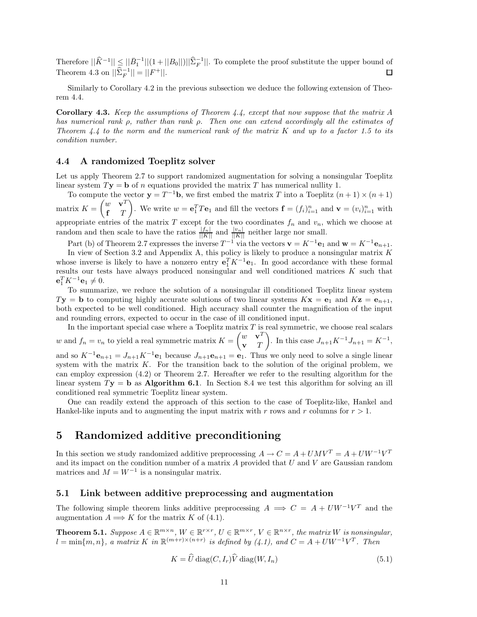Therefore  $||\hat{K}^{-1}|| \le ||\bar{B}_1^{-1}||(1+||B_0||)||\hat{\Sigma}_F^{-1}||$ . To complete the proof substitute the upper bound of Theorem 4.3 on  $||\hat{\Sigma}_F^{-1}|| = ||F^+||$ . 口

Similarly to Corollary 4.2 in the previous subsection we deduce the following extension of Theorem 4.4.

**Corollary 4.3.** *Keep the assumptions of Theorem 4.4, except that now suppose that the matrix A has numerical rank ρ, rather than rank ρ. Then one can extend accordingly all the estimates of Theorem 4.4 to the norm and the numerical rank of the matrix K and up to a factor 1.5 to its condition number.*

### **4.4 A randomized Toeplitz solver**

Let us apply Theorem 2.7 to support randomized augmentation for solving a nonsingular Toeplitz linear system  $T$ **y** = **b** of *n* equations provided the matrix *T* has numerical nullity 1.

To compute the vector  $\mathbf{y} = T^{-1}\mathbf{b}$ , we first embed the matrix *T* into a Toeplitz  $(n+1) \times (n+1)$ matrix  $K = \begin{pmatrix} w & \mathbf{v}^T \\ \mathbf{r} & T \end{pmatrix}$ **f** *T* ). We write  $w = \mathbf{e}_1^T T \mathbf{e}_1$  and fill the vectors  $\mathbf{f} = (f_i)_{i=1}^n$  and  $\mathbf{v} = (v_i)_{i=1}^n$  with appropriate entries of the matrix  $T$  except for the two coordinates  $f_n$  and  $v_n$ , which we choose at random and then scale to have the ratios  $\frac{|f_n|}{||K||}$  and  $\frac{|v_n|}{||K||}$  neither large nor small.

Part (b) of Theorem 2.7 expresses the inverse  $T^{-1}$  via the vectors  $\mathbf{v} = K^{-1} \mathbf{e}_1$  and  $\mathbf{w} = K^{-1} \mathbf{e}_{n+1}$ .

In view of Section 3.2 and Appendix A, this policy is likely to produce a nonsingular matrix *K* whose inverse is likely to have a nonzero entry  $\mathbf{e}_1^T K^{-1} \mathbf{e}_1$ . In good accordance with these formal results our tests have always produced nonsingular and well conditioned matrices *K* such that  $e_1^T K^{-1} e_1 \neq 0.$ 

To summarize, we reduce the solution of a nonsingular ill conditioned Toeplitz linear system  $T$ **y** = **b** to computing highly accurate solutions of two linear systems  $K$ **x** = **e**<sub>1</sub> and  $K$ **z** = **e**<sub>*n*+1</sub>, both expected to be well conditioned. High accuracy shall counter the magnification of the input and rounding errors, expected to occur in the case of ill conditioned input.

In the important special case where a Toeplitz matrix *T* is real symmetric, we choose real scalars *w* and  $f_n = v_n$  to yield a real symmetric matrix  $K = \begin{pmatrix} w & \mathbf{v}^T \\ \mathbf{v} & T \end{pmatrix}$ **v** *T* ). In this case  $J_{n+1}K^{-1}J_{n+1} = K^{-1}$ , and so  $K^{-1}\mathbf{e}_{n+1} = J_{n+1}K^{-1}\mathbf{e}_1$  because  $J_{n+1}\mathbf{e}_{n+1} = \mathbf{e}_1$ . Thus we only need to solve a single linear system with the matrix *K*. For the transition back to the solution of the original problem, we can employ expression (4.2) or Theorem 2.7. Hereafter we refer to the resulting algorithm for the linear system *T***y** = **b** as **Algorithm 6.1**. In Section 8.4 we test this algorithm for solving an ill conditioned real symmetric Toeplitz linear system.

One can readily extend the approach of this section to the case of Toeplitz-like, Hankel and Hankel-like inputs and to augmenting the input matrix with *r* rows and *r* columns for *r >* 1.

# **5 Randomized additive preconditioning**

In this section we study randomized additive preprocessing  $A \to C = A + U M V^T = A + U W^{-1} V^T$ and its impact on the condition number of a matrix *A* provided that *U* and *V* are Gaussian random matrices and  $M = W^{-1}$  is a nonsingular matrix.

## **5.1 Link between additive preprocessing and augmentation**

The following simple theorem links additive preprocessing  $A \implies C = A + U W^{-1} V^T$  and the augmentation  $A \Longrightarrow K$  for the matrix  $K$  of (4.1).

**Theorem 5.1.** Suppose  $A \in \mathbb{R}^{m \times n}$ ,  $W \in \mathbb{R}^{r \times r}$ ,  $U \in \mathbb{R}^{m \times r}$ ,  $V \in \mathbb{R}^{n \times r}$ , the matrix W is nonsingular,  $l = \min\{m, n\}$ , a matrix  $K$  *in*  $\mathbb{R}^{(m+r)\times(n+r)}$  *is defined by (4.1), and*  $C = A + UW^{-1}V^{T}$ *. Then* 

$$
K = \widehat{U} \operatorname{diag}(C, I_r) \widehat{V} \operatorname{diag}(W, I_n)
$$
\n(5.1)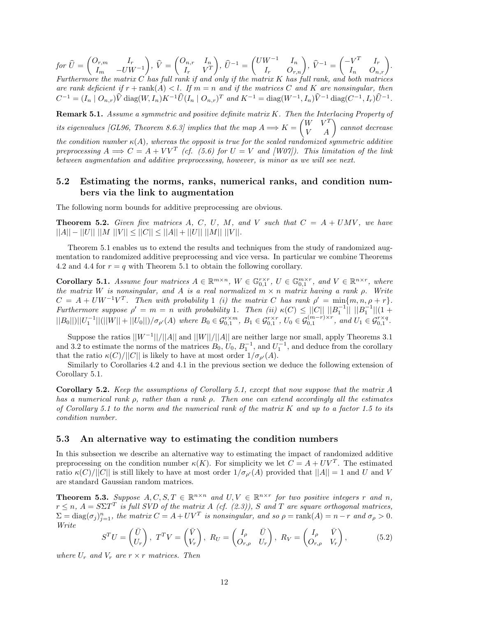$for\ \widehat{U}=\begin{pmatrix} O_{r,m} & I_r\ I_m & -UW \end{pmatrix}$ *I<sup>m</sup>* −*UW*−<sup>1</sup>  $\hat{V} = \begin{pmatrix} O_{n,r} & I_n \ I_r & V^T \end{pmatrix}$  $I_r$   $V^T$  $\left( \begin{array}{cc} \hat{U}^{-1} = \begin{pmatrix} UW^{-1} & I_n \\ I_r & O_{r,n} \end{pmatrix}, \ \hat{V}^{-1} = \begin{pmatrix} -V^T & I_r \\ I_n & O_{n,r} \end{pmatrix}. \end{array} \right)$ *Furthermore the matrix C has full rank if and only if the matrix K has full rank, and both matrices are rank deficient if*  $r + \text{rank}(A) < l$ *. If*  $m = n$  *and if the matrices C and K are nonsingular, then*  $C^{-1} = (I_n \mid O_{n,r})\hat{V}$  diag $(W, I_n)K^{-1}\hat{U}(I_n \mid O_{n,r})^T$  and  $K^{-1} = \text{diag}(W^{-1}, I_n)\hat{V}^{-1}$  diag $(C^{-1}, I_r)\hat{U}^{-1}$ .

**Remark 5.1.** *Assume a symmetric and positive definite matrix K. Then the Interlacing Property of*  $i$ *tis eigenvalues [GL96, Theorem 8.6.3] implies that the map*  $A \Longrightarrow K = \begin{pmatrix} W & V^T \ V & A \end{pmatrix}$  cannot decrease *the condition number*  $\kappa(A)$ *, whereas the opposit is true for the scaled randomized symmetric additive preprocessing*  $A \implies C = A + V V^T$  *(cf. (5.6) for*  $U = V$  *and [W07]). This limitation of the link between augmentation and additive preprocessing, however, is minor as we will see next.*

## **5.2 Estimating the norms, ranks, numerical ranks, and condition numbers via the link to augmentation**

The following norm bounds for additive preprocessing are obvious.

**Theorem 5.2.** *Given five matrices*  $A$ *,*  $C$ *,*  $U$ *,*  $M$ *,* and  $V$  *such that*  $C = A + UMV$ *, we have*  $||A|| - ||U|| ||M ||V|| \leq ||C|| \leq ||A|| + ||U|| ||M|| ||V||.$ 

Theorem 5.1 enables us to extend the results and techniques from the study of randomized augmentation to randomized additive preprocessing and vice versa. In particular we combine Theorems 4.2 and 4.4 for  $r = q$  with Theorem 5.1 to obtain the following corollary.

**Corollary 5.1.** Assume four matrices  $A \in \mathbb{R}^{m \times n}$ ,  $W \in \mathbb{G}_{0,1}^{r \times r}$ ,  $U \in \mathbb{G}_{0,1}^{m \times r}$ , and  $V \in \mathbb{R}^{n \times r}$ , where *the matrix W is nonsingular, and A is a real normalized m* × *n matrix having a rank ρ. Write*  $C = A + UW^{-1}V^{T}$ . Then with probability 1 *(i)* the matrix *C* has rank  $\rho' = \min\{m, n, \rho + r\}$ . *Furthermore suppose*  $\rho' = m = n$  *with probability* 1*. Then (ii)*  $\kappa(C) \leq ||C|| \, ||B_1^{-1}|| \, ||B_1^{-1}|| (1 +$  $||B_0||)||U_1^{-1}||(||W|| + ||U_0||)/\sigma_{\rho'}(A)$  where  $B_0 \in \mathcal{G}_{0,1}^{r \times m}$ ,  $B_1 \in \mathcal{G}_{0,1}^{r \times r}$ ,  $U_0 \in \mathcal{G}_{0,1}^{(m-r)\times r}$ , and  $U_1 \in \mathcal{G}_{0,1}^{r \times q}$ .

Suppose the ratios ||*W*−<sup>1</sup>||*/*||*A*|| and ||*W*||*/*||*A*|| are neither large nor small, apply Theorems 3.1 and 3.2 to estimate the norms of the matrices  $B_0$ ,  $U_0$ ,  $B_1^{-1}$ , and  $U_1^{-1}$ , and deduce from the corollary that the ratio  $\kappa(C)/||C||$  is likely to have at most order  $1/\sigma_{\rho'}(A)$ .

Similarly to Corollaries 4.2 and 4.1 in the previous section we deduce the following extension of Corollary 5.1.

**Corollary 5.2.** *Keep the assumptions of Corollary 5.1, except that now suppose that the matrix A has a numerical rank ρ, rather than a rank ρ. Then one can extend accordingly all the estimates of Corollary 5.1 to the norm and the numerical rank of the matrix K and up to a factor 1.5 to its condition number.*

#### **5.3 An alternative way to estimating the condition numbers**

In this subsection we describe an alternative way to estimating the impact of randomized additive preprocessing on the condition number  $\kappa(K)$ . For simplicity we let  $C = A + UV^T$ . The estimated ratio  $\kappa(C)/||C||$  is still likely to have at most order  $1/\sigma_{\rho'}(A)$  provided that  $||A|| = 1$  and *U* and *V* are standard Gaussian random matrices.

**Theorem 5.3.** Suppose  $A, C, S, T \in \mathbb{R}^{n \times n}$  and  $U, V \in \mathbb{R}^{n \times r}$  for two positive integers r and n,  $r \leq n$ ,  $A = S\Sigma T^T$  *is full SVD of the matrix A (cf. (2.3))*, *S* and *T* are square orthogonal matrices,  $\Sigma = diag(\sigma_j)_{j=1}^n$ , the matrix  $C = A + UV^T$  is nonsingular, and so  $\rho = \text{rank}(A) = n - r$  and  $\sigma_\rho > 0$ . *Write*

$$
^T U = \begin{pmatrix} \bar{U} \\ U_r \end{pmatrix}, \ T^T V = \begin{pmatrix} \bar{V} \\ V_r \end{pmatrix}, \ R_U = \begin{pmatrix} I_\rho & \bar{U} \\ O_{r,\rho} & U_r \end{pmatrix}, \ R_V = \begin{pmatrix} I_\rho & \bar{V} \\ O_{r,\rho} & V_r \end{pmatrix}, \tag{5.2}
$$

*where*  $U_r$  *and*  $V_r$  *are*  $r \times r$  *matrices. Then* 

*S*<sup>*T*</sup>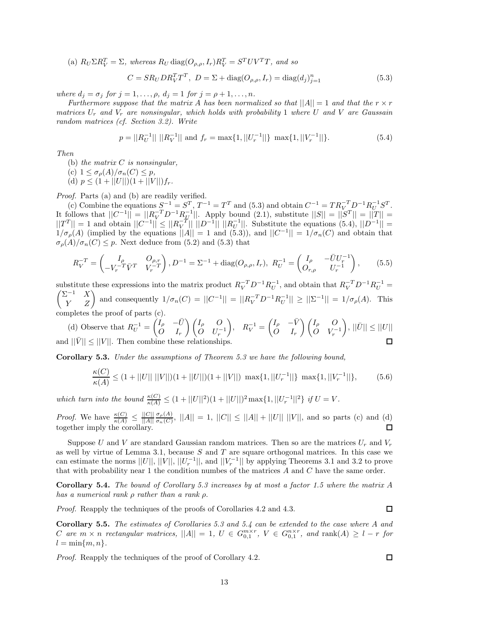(a)  $R_U \Sigma R_V^T = \Sigma$ , whereas  $R_U \text{ diag}(O_{\rho,\rho}, I_r) R_V^T = S^T UV^T T$ , and so

$$
C = SR_U DR_V^T T^T, \ D = \Sigma + \text{diag}(O_{\rho,\rho}, I_r) = \text{diag}(d_j)_{j=1}^n
$$
\n(5.3)

*where*  $d_j = \sigma_j$  *for*  $j = 1, ..., \rho$ *,*  $d_j = 1$  *for*  $j = \rho + 1, ..., n$ *.* 

*Furthermore suppose that the matrix A has been normalized so that*  $||A|| = 1$  *and that the*  $r \times r$ *matrices U<sup>r</sup> and V<sup>r</sup> are nonsingular, which holds with probability* 1 *where U and V are Gaussain random matrices (cf. Section 3.2). Write*

$$
p = ||R_U^{-1}|| \, ||R_V^{-1}|| \text{ and } f_r = \max\{1, ||U_r^{-1}||\} \, \max\{1, ||V_r^{-1}||\}. \tag{5.4}
$$

*Then*

- (b) *the matrix C is nonsingular,*
- (c)  $1 \leq \sigma_p(A)/\sigma_n(C) \leq p$ ,
- (d)  $p \leq (1 + ||U||)(1 + ||V||)f_r$ .

*Proof.* Parts (a) and (b) are readily verified.

(c) Combine the equations  $S^{-1} = S^T$ ,  $T^{-1} = T^T$  and (5.3) and obtain  $C^{-1} = TR_V^{-T}D^{-1}R_U^{-1}S^T$ . It follows that  $||C^{-1}|| = ||R_V^{-T}D^{-1}R_H^{-1}||$ . Apply bound (2.1), substitute  $||S|| = ||S|| = ||T|| =$  $||T^T|| = 1$  and obtain  $||C^{-1}|| \leq ||R_V^{-T}|| ||D^{-1}|| ||R_U^{-1}||$ . Substitute the equations (5.4),  $||D^{-1}|| =$  $1/\sigma_{\rho}(A)$  (implied by the equations  $||A|| = 1$  and  $(5.3)$ ), and  $||C^{-1}|| = 1/\sigma_{n}(C)$  and obtain that  $\sigma_p(A)/\sigma_n(C) \leq p$ . Next deduce from (5.2) and (5.3) that

$$
R_V^{-T} = \begin{pmatrix} I_\rho & O_{\rho,r} \\ -V_r^{-T} \bar{V}^T & V_r^{-T} \end{pmatrix}, D^{-1} = \Sigma^{-1} + \text{diag}(O_{\rho,\rho}, I_r), \ R_U^{-1} = \begin{pmatrix} I_\rho & -\bar{U}U_r^{-1} \\ O_{r,\rho} & U_r^{-1} \end{pmatrix}, \tag{5.5}
$$

substitute these expressions into the matrix product  $R_V^{-T}D^{-1}R_U^{-1}$ , and obtain that  $R_V^{-T}D^{-1}R_U^{-1}$ substitute these expressions into the matrix product  $R_V^{-T}D^{-1}R_U^{-1}$ , and obtain that  $R_V^{-T}D^{-1}R_U^{-1} =$ <br> $\begin{pmatrix} \Sigma^{-1} & X \\ Y & Z \end{pmatrix}$  and consequently  $1/\sigma_n(C) = ||C^{-1}|| = ||R_V^{-T}D^{-1}R_U^{-1}|| \ge ||\Sigma^{-1}|| = 1/\sigma_\rho(A)$ . This completes the proof of parts  $(c)$ .

(d) Observe that  $R_U^{-1} = \begin{pmatrix} I_\rho & -\bar{U} & -\bar{U} \\ O & I_\rho & -I \end{pmatrix}$  $\begin{pmatrix} R_V^{-1} = \begin{pmatrix} I_\rho & -\bar{V} \\ O & I \end{pmatrix}$ - *I<sup>ρ</sup> O* - *I<sup>ρ</sup> O*  $\Big), \, ||\bar{U}|| \leq ||U||$  $\dot{O}$  *U<sub>r</sub>*<sup>-1</sup>  $\dot{O}$  *V*<sub>r</sub><sup>-1</sup> *O I<sup>r</sup> O I<sup>r</sup>* and  $||\overline{V}|| \leq ||V||$ . Then combine these relationships.  $\Box$ 

**Corollary 5.3.** *Under the assumptions of Theorem 5.3 we have the following bound,*

$$
\frac{\kappa(C)}{\kappa(A)} \le (1 + ||U|| \, ||V||)(1 + ||U||)(1 + ||V||) \, \max\{1, ||U_r^{-1}||\} \, \max\{1, ||V_r^{-1}||\},\tag{5.6}
$$

*which turn into the bound*  $\frac{\kappa(C)}{\kappa(A)} \leq (1 + ||U||^2)(1 + ||U||)^2 \max\{1, ||U_r^{-1}||^2\}$  *if*  $U = V$ .

*Proof.* We have  $\frac{\kappa(C)}{\kappa(A)} \leq \frac{||C||}{||A||}$  $\frac{\sigma_p(A)}{\sigma_n(C)}$ ,  $||A|| = 1$ ,  $||C|| \le ||A|| + ||U||$ ,  $||V||$ , and so parts (c) and (d) together imply the corollary.

Suppose *U* and *V* are standard Gaussian random matrices. Then so are the matrices  $U_r$  and  $V_r$ as well by virtue of Lemma 3.1, because *S* and *T* are square orthogonal matrices. In this case we can estimate the norms  $||U||, ||V||, ||U_T^{-1}||$ , and  $||V_T^{-1}||$  by applying Theorems 3.1 and 3.2 to prove that with probability near 1 the condition numbes of the matrices *A* and *C* have the same order.

**Corollary 5.4.** *The bound of Corollary 5.3 increases by at most a factor 1.5 where the matrix A has a numerical rank ρ rather than a rank ρ.*

*Proof.* Reapply the techniques of the proofs of Corollaries 4.2 and 4.3.

**Corollary 5.5.** *The estimates of Corollaries 5.3 and 5.4 can be extended to the case where A and* C are  $m \times n$  rectangular matrices,  $||A|| = 1$ ,  $U \in G_{0,1}^{m \times r}$ ,  $V \in G_{0,1}^{n \times r}$ , and rank $(A) \geq l - r$  for  $l = \min\{m, n\}.$ 

*Proof.* Reapply the techniques of the proof of Corollary 4.2.

 $\Box$ 

□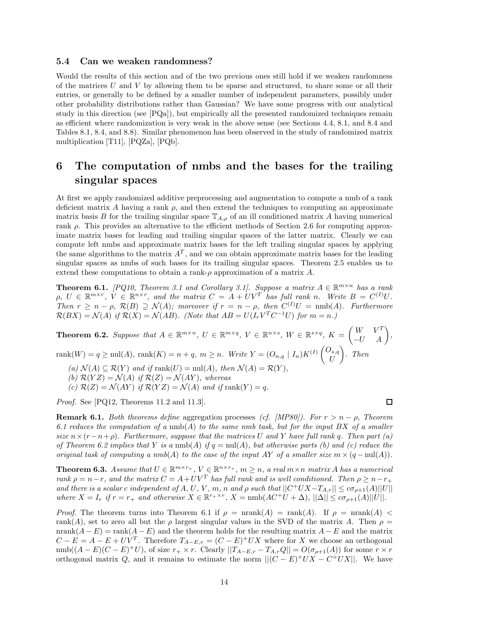#### **5.4 Can we weaken randomness?**

Would the results of this section and of the two previous ones still hold if we weaken randomness of the matrices *U* and *V* by allowing them to be sparse and structured, to share some or all their entries, or generally to be defined by a smaller number of independent parameters, possibly under other probability distributions rather than Gaussian? We have some progress with our analytical study in this direction (see  $[PQa]$ ), but empirically all the presented randomized techniques remain as efficient where randomization is very weak in the above sense (see Sections 4.4, 8.1, and 8.4 and Tables 8.1, 8.4, and 8.8). Similar phenomenon has been observed in the study of randomized matrix multiplication [T11], [PQZa], [PQb].

# **6 The computation of nmbs and the bases for the trailing singular spaces**

At first we apply randomized additive preprocessing and augmentation to compute a nmb of a rank deficient matrix A having a rank  $\rho$ , and then extend the techniques to computing an approximate matrix basis *B* for the trailing singular space  $\mathbb{T}_{A,\rho}$  of an ill conditioned matrix *A* having numerical rank *ρ*. This provides an alternative to the efficient methods of Section 2.6 for computing approximate matrix bases for leading and trailing singular spaces of the latter matrix. Clearly we can compute left nmbs and approximate matrix bases for the left trailing singular spaces by applying the same algorithms to the matrix  $A<sup>T</sup>$ , and we can obtain approximate matrix bases for the leading singular spaces as nmbs of such bases for its trailing singular spaces. Theorem 2.5 enables us to extend these computations to obtain a rank- $\rho$  approximation of a matrix  $A$ .

**Theorem 6.1.** *[PQ10, Theorem 3.1 and Corollary 3.1]. Suppose a matrix*  $A \in \mathbb{R}^{m \times n}$  *has a rank*  $\rho, U \in \mathbb{R}^{m \times r}, V \in \mathbb{R}^{n \times r}$ , and the matrix  $C = A + UV^T$  has full rank n. Write  $B = C^{(I)}U$ . *Then*  $r \geq n - \rho$ ,  $\mathcal{R}(B) \supseteq \mathcal{N}(A)$ ; moreover if  $r = n - \rho$ , then  $C^{(I)}U = \text{nmb}(A)$ *. Furthermore*  $\mathcal{R}(BX) = \mathcal{N}(A)$  *if*  $\mathcal{R}(X) = \mathcal{N}(AB)$ *. (Note that*  $AB = U(I_r V^T C^{-1} U)$  *for*  $m = n$ *.)* 

**Theorem 6.2.** Suppose that  $A \in \mathbb{R}^{m \times n}$ ,  $U \in \mathbb{R}^{m \times q}$ ,  $V \in \mathbb{R}^{n \times s}$ ,  $W \in \mathbb{R}^{s \times q}$ ,  $K = \begin{pmatrix} W & V^T \ -U & A \end{pmatrix}$ ,  $rank(W) = q \geq null(A)$ ,  $rank(K) = n + q$ ,  $m \geq n$ . Write  $Y = (O_{n,q} | I_n)K^{(I)} \begin{pmatrix} O_{s,q} \\ I_n^T \end{pmatrix}$ *U* - *. Then*  $(a)$   $\mathcal{N}(A) \subseteq \mathcal{R}(Y)$  *and if*  $\text{rank}(U) = \text{null}(A)$ *, then*  $\mathcal{N}(A) = \mathcal{R}(Y)$ *,* 

*(b)*  $\mathcal{R}(YZ) = \mathcal{N}(A)$  *if*  $\mathcal{R}(Z) = \mathcal{N}(AY)$ *, whereas* 

(c)  $\mathcal{R}(Z) = \mathcal{N}(AY)$  *if*  $\mathcal{R}(YZ) = \mathcal{N}(A)$  *and if*  $\text{rank}(Y) = q$ *.* 

*Proof.* See [PQ12, Theorems 11.2 and 11.3].

**Remark 6.1.** *Both theorems define* aggregation processes *(cf. [MP80]). For r>n* − *ρ, Theorem 6.1 reduces the computation of a* nmb(*A*) *to the same nmb task, but for the input BX of a smaller size*  $n \times (r - n + \rho)$ . Furthermore, suppose that the matrices U and Y have full rank q. Then part (a) *of Theorem 6.2 implies that*  $Y$  *is a* nmb( $A$ ) *if*  $q = \text{null}(A)$ *, but otherwise parts (b) and (c) reduce the original task of computing a nmb* $(A)$  *to the case of the input AY of a smaller size*  $m \times (q - \text{null}(A))$ *.* 

**Theorem 6.3.** Assume that  $U \in \mathbb{R}^{m \times r_+}$ ,  $V \in \mathbb{R}^{n \times r_+}$ ,  $m \geq n$ , a real  $m \times n$  matrix A has a numerical *rank*  $\rho = n - r$ *, and the matrix*  $C = A + UV^T$  *has full rank and is well conditioned. Then*  $\rho \geq n - r_+$ and there is a scalar c independent of A, U, V, m, n and  $\rho$  such that  $||C^+UX - T_{A,r}|| \leq c\sigma_{\rho+1}(A)||U||$ where  $X = I_r$  if  $r = r_+$  and otherwise  $X \in \mathbb{R}^{r+ \times r}$ ,  $X = \text{nmb}(AC^+U + \Delta)$ ,  $||\Delta|| \leq c\sigma_{\rho+1}(A)||U||$ .

*Proof.* The theorem turns into Theorem 6.1 if  $\rho = \text{nrank}(A) = \text{rank}(A)$ . If  $\rho = \text{nrank}(A)$ rank(*A*), set to zero all but the *ρ* largest singular values in the SVD of the matrix *A*. Then  $\rho$  = nrank $(A - E)$  = rank $(A - E)$  and the theorem holds for the resulting matrix  $A - E$  and the matrix  $C - E = A - E + UV^T$ . Therefore  $T_{A-E,r} = (C - E)^+ U X$  where for *X* we choose an orthogonal  $\text{nmb}((A-E)(C-E)^+U)$ , of size  $r_+ \times r$ . Clearly  $||T_{A-E,r} - T_{A,r}Q|| = O(\sigma_{\rho+1}(A))$  for some  $r \times r$ orthogonal matrix *Q*, and it remains to estimate the norm  $||(C - E)^+UX - C^+UX||$ . We have

 $\Box$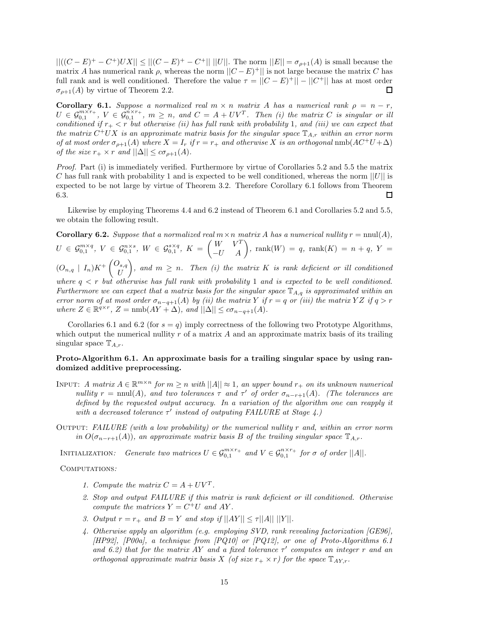|| $((C - E)^+ - C^+)UX|| ≤ ||(C - E)^+ - C^+||$  ||*U*||. The norm  $||E|| = \sigma_{\rho+1}(A)$  is small because the matrix *A* has numerical rank  $\rho$ , whereas the norm  $||C - E|$  is not large because the matrix *C* has full rank and is well conditioned. Therefore the value  $\tau = ||C - E^+|| - ||C^+||$  has at most order  $\sigma_{\rho+1}(A)$  by virtue of Theorem 2.2. □

**Corollary 6.1.** *Suppose a normalized real*  $m \times n$  *matrix A has a numerical rank*  $\rho = n - r$ *,*  $U \in \mathcal{G}_{0,1}^{m \times r_+}$ ,  $V \in \tilde{\mathcal{G}}_{0,1}^{n \times r_+}$ ,  $m \geq n$ , and  $C = A + UV^T$ . Then (i) the matrix C is singular or ill *conditioned if r*<sup>+</sup> *< r but otherwise (ii) has full rank with probability* 1*, and (iii) we can expect that the matrix*  $C^+UX$  *is an approximate matrix basis for the singular space*  $\mathbb{T}_{A,r}$  *within an error norm of at most order*  $\sigma_{\rho+1}(A)$  *where*  $X = I_r$  *if*  $r = r_+$  *and otherwise*  $X$  *is an orthogonal* nmb( $AC^+U + \Delta$ ) *of the size*  $r_+ \times r$  *and*  $||\Delta|| \leq c\sigma_{\rho+1}(A)$ *.* 

*Proof.* Part (i) is immediately verified. Furthermore by virtue of Corollaries 5.2 and 5.5 the matrix *C* has full rank with probability 1 and is expected to be well conditioned, whereas the norm ||*U*|| is expected to be not large by virtue of Theorem 3.2. Therefore Corollary 6.1 follows from Theorem 6.3. 口

Likewise by employing Theorems 4.4 and 6.2 instead of Theorem 6.1 and Corollaries 5.2 and 5.5, we obtain the following result.

**Corollary 6.2.** *Suppose that a normalized real*  $m \times n$  *matrix A has a numerical nullity*  $r = \text{null}(A)$ *,*  $U\, \in\, \mathcal{G}^{m\times q}_{0,1},\ V\, \in\, \mathcal{G}^{n\times s}_{0,1},\ W\, \in\, \mathcal{G}^{s\times q}_{0,1},\ K\, =\, \begin{pmatrix} W & V^T\ -U & A \end{pmatrix},\ \mathrm{rank}(W)\, =\, q,\ \mathrm{rank}(K)\, =\, n\, +\, q,\ Y\, =\,$  $(O_{n,q} | I_n)K^+\binom{O_{s,q}}{I}$ *U*  $\left\{ \rho, \rho \geq n$ . Then (i) the matrix K is rank deficient or ill conditioned *where*  $q < r$  *but otherwise has full rank with probability* 1 *and is expected to be well conditioned. Furthermore we can expect that a matrix basis for the singular space* T*A,q is approximated within an error norm of at most order*  $\sigma_{n-q+1}(A)$  *by (ii) the matrix Y if*  $r = q$  *or (iii) the matrix YZ if*  $q > r$ *where*  $Z \in \mathbb{R}^{q \times r}$ ,  $Z = \text{nmb}(AY + \Delta)$ , and  $||\Delta|| \leq c\sigma_{n-q+1}(A)$ .

Corollaries 6.1 and 6.2 (for  $s = q$ ) imply correctness of the following two Prototype Algorithms, which output the numerical nullity *r* of a matrix *A* and an approximate matrix basis of its trailing singular space T*A,r*.

### **Proto-Algorithm 6.1. An approximate basis for a trailing singular space by using randomized additive preprocessing.**

- INPUT: *A matrix*  $A \in \mathbb{R}^{m \times n}$  *for*  $m \geq n$  *with*  $||A|| \approx 1$ *, an upper bound*  $r_+$  *on its unknown numerical nullity*  $r = \text{nnul}(A)$ *, and two tolerances*  $\tau$  *and*  $\tau'$  *of order*  $\sigma_{n-r+1}(A)$ *. (The tolerances are defined by the requested output accuracy. In a variation of the algorithm one can reapply it with a decreased tolerance τ' instead of outputing FAILURE at Stage 4.)*
- Output: *FAILURE (with a low probability) or the numerical nullity r and, within an error norm in*  $O(\sigma_{n-r+1}(A))$ *, an approximate matrix basis B of the trailing singular space*  $\mathbb{T}_{A,r}$ *.*

INITIALIZATION: Generate two matrices  $U \in \mathcal{G}_{0,1}^{m \times r_+}$  and  $V \in \mathcal{G}_{0,1}^{n \times r_+}$  for  $\sigma$  of order  $||A||$ .

Computations*:*

- *1. Compute the matrix*  $C = A + UV^T$ .
- *2. Stop and output FAILURE if this matrix is rank deficient or ill conditioned. Otherwise compute the matrices*  $Y = C^+U$  *and*  $AY$ .
- *3. Output*  $r = r_+$  *and*  $B = Y$  *and stop if*  $||AY|| \le \tau ||A||$   $||Y||$ *.*
- *4. Otherwise apply an algorithm (e.g. employing SVD, rank revealing factorization [GE96], [HP92], [P00a], a technique from [PQ10] or [PQ12], or one of Proto-Algorithms 6.1 and 6.2) that for the matrix AY and a fixed tolerance*  $\tau'$  computes an integer  $r$  and an *orthogonal approximate matrix basis X (of size*  $r_+ \times r$ *) for the space*  $\mathbb{T}_{AY,r}$ *.*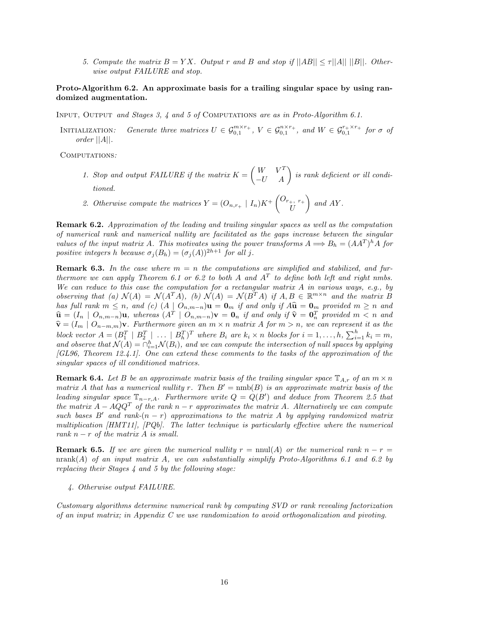*5. Compute the matrix*  $B = YX$ *. Output r* and *B* and stop if  $||AB|| \leq \tau ||A|| ||B||$ *. Otherwise output FAILURE and stop.*

### **Proto-Algorithm 6.2. An approximate basis for a trailing singular space by using randomized augmentation.**

Input, Output *and Stages 3, 4 and 5 of* Computations *are as in Proto-Algorithm 6.1.*

INITIALIZATION: Generate three matrices  $U \in \mathcal{G}_{0,1}^{m \times r_+}$ ,  $V \in \mathcal{G}_{0,1}^{n \times r_+}$ , and  $W \in \mathcal{G}_{0,1}^{r_+ \times r_+}$  for  $\sigma$  of *order* ||*A*||*.*

Computations*:*

- *1. Stop and output FAILURE if the matrix*  $K = \begin{pmatrix} W & V^T \\ -U & A \end{pmatrix}$  is rank deficient or ill condi*tioned.*
- 2. Otherwise compute the matrices  $Y = (O_{n,r_{+}} \mid I_{n})K^{+}\begin{pmatrix} O_{r_{+},r_{+}} \\ I_{I} \end{pmatrix}$ *U*  $\int$  *and AY .*

**Remark 6.2.** *Approximation of the leading and trailing singular spaces as well as the computation of numerical rank and numerical nullity are facilitated as the gaps increase between the singular values of the input matrix A. This motivates using the power transforms*  $A \implies B_h = (AA^T)^h A$  *for positive integers h because*  $\sigma_j(B_h) = (\sigma_j(A))^{2h+1}$  *for all j*.

**Remark 6.3.** In the case where  $m = n$  the computations are simplified and stabilized, and fur*thermore we can apply Theorem 6.1 or 6.2 to both A* and  $A<sup>T</sup>$  *to define both left and right nmbs. We can reduce to this case the computation for a rectangular matrix A in various ways, e.g., by observing that (a)*  $\mathcal{N}(A) = \mathcal{N}(A^T A)$ , *(b)*  $\mathcal{N}(A) = \mathcal{N}(B^T A)$  *if*  $A, B \in \mathbb{R}^{m \times n}$  *and the matrix B* has full rank  $m \leq n$ , and (c)  $(A | O_{n,m-n})\mathbf{u} = \mathbf{0}_m$  if and only if  $A\hat{\mathbf{u}} = \mathbf{0}_m$  provided  $m \geq n$  and  $\hat{\mathbf{u}} = (I_n \mid O_{n,m-n})\mathbf{u}$ , whereas  $(A^T \mid O_{n,m-n})\mathbf{v} = \mathbf{0}_n$  if and only if  $\hat{\mathbf{v}} = \mathbf{0}_n^T$  provided  $m < n$  and  $\hat{\mathbf{v}} = (I_n \mid O_{n,m-n})\mathbf{v}$ . Earthermore given an  $m \times n$  matrix A for  $m > n$ , we can represent it as  $\hat{\mathbf{v}} = (\overline{I_m} \mid O_{n-m,m})\mathbf{v}$ . Furthermore given an  $m \times n$  matrix *A* for  $m > n$ , we can represent it as the block vector  $A = (B_1^T \mid B_2^T \mid \ldots \mid B_h^T)^T$  where  $B_i$  are  $k_i \times n$  blocks for  $i = 1, \ldots, h$ ,  $\sum_{i=1}^h k_i = m$ , *and observe that*  $\mathcal{N}(A) = \bigcap_{i=1}^h \mathcal{N}(B_i)$ *, and we can compute the intersection of null spaces by applying [GL96, Theorem 12.4.1]. One can extend these comments to the tasks of the approximation of the singular spaces of ill conditioned matrices.*

**Remark 6.4.** Let *B* be an approximate matrix basis of the trailing singular space  $\mathbb{T}_{A,r}$  of an  $m \times n$ *matrix A that has a numerical nullity r. Then*  $B' = \text{nmb}(B)$  *is an approximate matrix basis of the leading singular space*  $\mathbb{T}_{n-r,A}$ *. Furthermore write*  $Q = Q(B')$  *and deduce from Theorem 2.5 that the matrix*  $A - AQQ^T$  *of the rank*  $n - r$  *approximates the matrix A. Alternatively we can compute such bases*  $B'$  *and rank-* $(n - r)$  *approximations to the matrix*  $A$  *by applying randomized matrix multiplication [HMT11], [PQb]. The latter technique is particularly effective where the numerical rank*  $n - r$  *of the matrix*  $A$  *is small.* 

**Remark 6.5.** *If we are given the numerical nullity*  $r = \text{nnul}(A)$  *or the numerical rank*  $n - r =$ nrank(*A*) *of an input matrix A, we can substantially simplify Proto-Algorithms 6.1 and 6.2 by replacing their Stages 4 and 5 by the following stage:*

*4. Otherwise output FAILURE.*

*Customary algorithms determine numerical rank by computing SVD or rank revealing factorization of an input matrix; in Appendix C we use randomization to avoid orthogonalization and pivoting.*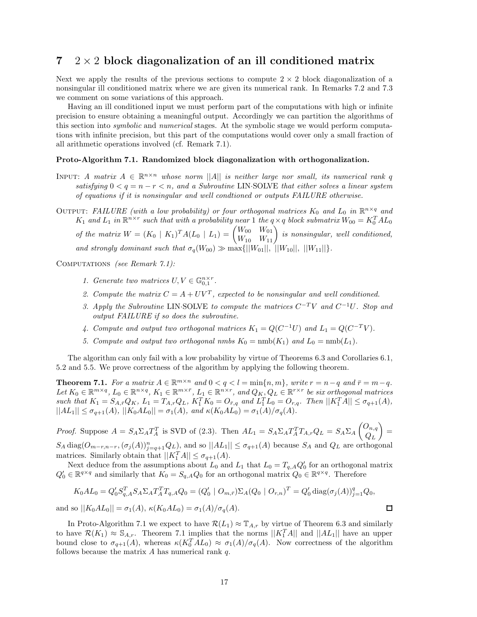# **7** 2 × 2 **block diagonalization of an ill conditioned matrix**

Next we apply the results of the previous sections to compute  $2 \times 2$  block diagonalization of a nonsingular ill conditioned matrix where we are given its numerical rank. In Remarks 7.2 and 7.3 we comment on some variations of this approach.

Having an ill conditioned input we must perform part of the computations with high or infinite precision to ensure obtaining a meaningful output. Accordingly we can partition the algorithms of this section into *symbolic* and *numerical* stages. At the symbolic stage we would perform computations with infinite precision, but this part of the computations would cover only a small fraction of all arithmetic operations involved (cf. Remark 7.1).

#### **Proto-Algorithm 7.1. Randomized block diagonalization with orthogonalization.**

INPUT: *A matrix*  $A \in \mathbb{R}^{n \times n}$  whose norm ||*A*|| *is neither large nor small, its numerical rank q satisfying*  $0 < q = n - r < n$ , and a Subroutine LIN·SOLVE that either solves a linear system *of equations if it is nonsingular and well condtioned or outputs FAILURE otherwise.*

OUTPUT: *FAILURE* (with a low probability) or four orthogonal matrices  $K_0$  and  $L_0$  in  $\mathbb{R}^{n \times q}$  and *K*<sub>1</sub> and *L*<sub>1</sub> in  $\mathbb{R}^{n \times r}$  such that with a probability near 1 the  $q \times q$  block submatrix  $W_{00} = K_0^T A L_0$ *of the matrix*  $W = (K_0 \mid K_1)^T A (L_0 \mid L_1) = \begin{pmatrix} W_{00} & W_{01} \\ W_{10} & W_{11} \end{pmatrix}$  is nonsingular, well conditioned, *and strongly dominant such that*  $\sigma_q(W_{00}) \gg \max\{||W_{01}||, ||W_{10}||, ||W_{11}||\}.$ 

Computations *(see Remark 7.1):*

- *1.* Generate two matrices  $U, V \in \mathbb{G}_{0,1}^{n \times r}$ .
- 2. Compute the matrix  $C = A + UV^T$ , expected to be nonsingular and well conditioned.
- *3. Apply the Subroutine* LIN·SOLVE *to compute the matrices*  $C^{-T}V$  *and*  $C^{-1}U$ *. Stop and output FAILURE if so does the subroutine.*
- *4. Compute and output two orthogonal matrices*  $K_1 = Q(C^{-1}U)$  *and*  $L_1 = Q(C^{-T}V)$ *.*
- *5. Compute and output two orthogonal nmbs*  $K_0 = \text{nmb}(K_1)$  *and*  $L_0 = \text{nmb}(L_1)$ *.*

The algorithm can only fail with a low probability by virtue of Theorems 6.3 and Corollaries 6.1, 5.2 and 5.5. We prove correctness of the algorithm by applying the following theorem.

**Theorem 7.1.** For a matrix  $A \in \mathbb{R}^{m \times n}$  and  $0 < q < l = \min\{n, m\}$ , write  $r = n - q$  and  $\bar{r} = m - q$ . Let  $K_0 \in \mathbb{R}^{m \times q}$ ,  $L_0 \in \mathbb{R}^{n \times q}$ ,  $K_1 \in \mathbb{R}^{m \times \bar{r}}$ ,  $L_1 \in \mathbb{R}^{n \times r}$ , and  $Q_K$ ,  $Q_L \in \mathbb{R}^{r \times r}$  be six orthogonal matrices such that  $K_1 = S_{A,\bar{r}}Q_K$ ,  $L_1 = T_{A,r}Q_L$ ,  $K_1^T K_0 = O_{\bar{r},q}$  and  $L_1^T L_0 = O_{r,q}$ . Then  $||K_1^T A|| \leq \sigma_{q+1}(A)$ ,  $||AL_1|| \leq \sigma_{q+1}(A)$ ,  $||K_0AL_0|| = \sigma_1(A)$ , and  $\kappa(K_0AL_0) = \sigma_1(A)/\sigma_q(A)$ .

*Proof.* Suppose  $A = S_A \Sigma_A T_A^T$  is SVD of (2.3). Then  $AL_1 = S_A \Sigma_A T_A^T T_{A,r} Q_L = S_A \Sigma_A \begin{pmatrix} O_{n,q} \\ O_{n,q} \end{pmatrix}$  $Q_L$  $=$  $S_A \text{ diag}(O_{m-r,n-r}, (\sigma_j(A))_{j=q+1}^n Q_L)$ , and so  $||AL_1|| \leq \sigma_{q+1}(A)$  because  $S_A$  and  $Q_L$  are orthogonal matrices. Similarly obtain that  $||K_1^T A|| \leq \sigma_{q+1}(A)$ .

Next deduce from the assumptions about  $L_0$  and  $L_1$  that  $L_0 = T_{q,A} Q_0'$  for an orthogonal matrix  $Q'_0 \in \mathbb{R}^{q \times q}$  and similarly that  $K_0 = S_{q,A} Q_0$  for an orthogonal matrix  $Q_0 \in \mathbb{R}^{q \times q}$ . Therefore

$$
K_0AL_0 = Q'_0S_{q,A}^T S_A \Sigma_A T_A^T T_{q,A} Q_0 = (Q'_0 \mid O_{m,\bar{r}}) \Sigma_A (Q_0 \mid O_{r,n})^T = Q'_0 \operatorname{diag}(\sigma_j(A))_{j=1}^q Q_0,
$$
  
and so  $||K_0AL_0|| = \sigma_1(A), \kappa(K_0AL_0) = \sigma_1(A)/\sigma_q(A).$ 

In Proto-Algorithm 7.1 we expect to have  $\mathcal{R}(L_1) \approx \mathbb{T}_{A,r}$  by virtue of Theorem 6.3 and similarly to have  $\mathcal{R}(K_1) \approx \mathbb{S}_{A,r}$ . Theorem 7.1 implies that the norms  $||K_1^T A||$  and  $||A L_1||$  have an upper bound close to  $\sigma_{q+1}(A)$ , whereas  $\kappa(K_0^T A L_0) \approx \sigma_1(A)/\sigma_q(A)$ . Now correctness of the algorithm follows because the matrix *A* has numerical rank *q*.

口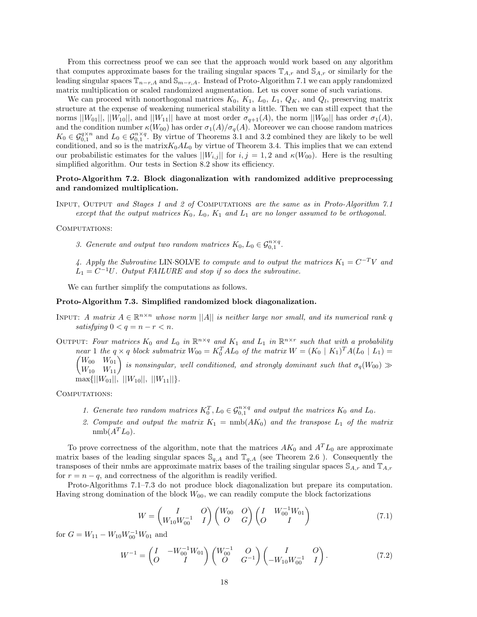From this correctness proof we can see that the approach would work based on any algorithm that computes approximate bases for the trailing singular spaces  $\mathbb{T}_{A,r}$  and  $\mathbb{S}_{A,r}$  or similarly for the leading singular spaces  $\mathbb{T}_{n-r,A}$  and  $\mathbb{S}_{m-r,A}$ . Instead of Proto-Algorithm 7.1 we can apply randomized matrix multiplication or scaled randomized augmentation. Let us cover some of such variations.

We can proceed with nonorthogonal matrices  $K_0$ ,  $K_1$ ,  $L_0$ ,  $L_1$ ,  $Q_K$ , and  $Q_l$ , preserving matrix structure at the expense of weakening numerical stability a little. Then we can still expect that the norms  $||W_{01}||$ ,  $||W_{10}||$ , and  $||W_{11}||$  have at most order  $\sigma_{q+1}(A)$ , the norm  $||W_{00}||$  has order  $\sigma_1(A)$ , and the condition number  $\kappa(W_{00})$  has order  $\sigma_1(A)/\sigma_q(A)$ . Moreover we can choose random matrices  $K_0 \in \mathcal{G}_{0,1}^{q \times n}$  and  $L_0 \in \mathcal{G}_{0,1}^{n \times q}$ . By virtue of Theorems 3.1 and 3.2 combined they are likely to be well conditioned, and so is the matrix $K_0AL_0$  by virtue of Theorem 3.4. This implies that we can extend our probabilistic estimates for the values  $||W_{i,j}||$  for  $i, j = 1, 2$  and  $\kappa(W_{00})$ . Here is the resulting simplified algorithm. Our tests in Section 8.2 show its efficiency.

### **Proto-Algorithm 7.2. Block diagonalization with randomized additive preprocessing and randomized multiplication.**

Input, Output *and Stages 1 and 2 of* Computations *are the same as in Proto-Algorithm 7.1 except that the output matrices K*0*, L*0*, K*<sup>1</sup> *and L*<sup>1</sup> *are no longer assumed to be orthogonal.*

#### COMPUTATIONS:

*3. Generate and output two random matrices*  $K_0, L_0 \in \mathcal{G}_{0,1}^{n \times q}$ .

4. Apply the Subroutine LIN·SOLVE *to compute and to output the matrices*  $K_1 = C^{-T}V$  and  $L_1 = C^{-1}U$ . Output FAILURE and stop if so does the subroutine.

We can further simplify the computations as follows.

#### **Proto-Algorithm 7.3. Simplified randomized block diagonalization.**

- INPUT: *A matrix*  $A \in \mathbb{R}^{n \times n}$  whose norm  $||A||$  is neither large nor small, and its numerical rank q *satisfying*  $0 < q = n - r < n$ .
- OUTPUT: Four matrices  $K_0$  and  $L_0$  in  $\mathbb{R}^{n \times q}$  and  $K_1$  and  $L_1$  in  $\mathbb{R}^{n \times r}$  such that with a probability *near* 1 *the*  $q \times q$  *block submatrix*  $W_{00} = K_0^T A L_0$  *of the matrix*  $W = (K_0 \mid K_1)^T A (L_0 \mid L_1)$  $\begin{pmatrix} W_{00} & W_{01} \\ W_{10} & W_{11} \end{pmatrix}$  is nonsingular, well conditioned, and strongly dominant such that  $\sigma_q(W_{00}) \gg$  $\max\{||W_{01}||, ||W_{10}||, ||W_{11}||\}$

COMPUTATIONS:

- *1. Generate two random matrices*  $K_0^T$ ,  $L_0 \in \mathcal{G}_{0,1}^{n \times q}$  *and output the matrices*  $K_0$  *and*  $L_0$ *.*
- 2. Compute and output the matrix  $K_1 = \text{nmb}(AK_0)$  and the transpose  $L_1$  of the matrix  $nmb(A^TL_0)$ .

To prove correctness of the algorithm, note that the matrices  $AK_0$  and  $A<sup>T</sup>L_0$  are approximate matrix bases of the leading singular spaces  $\mathcal{S}_{q,A}$  and  $\mathbb{T}_{q,A}$  (see Theorem 2.6). Consequently the transposes of their nmbs are approximate matrix bases of the trailing singular spaces S*A,r* and T*A,r* for  $r = n - q$ , and correctness of the algorithm is readily verified.

Proto-Algorithms 7.1–7.3 do not produce block diagonalization but prepare its computation. Having strong domination of the block  $W_{00}$ , we can readily compute the block factorizations

$$
W = \begin{pmatrix} I & O \\ W_{10} W_{00}^{-1} & I \end{pmatrix} \begin{pmatrix} W_{00} & O \\ O & G \end{pmatrix} \begin{pmatrix} I & W_{00}^{-1} W_{01} \\ O & I \end{pmatrix}
$$
(7.1)

for  $G = W_{11} - W_{10}W_{00}^{-1}W_{01}$  and

$$
W^{-1} = \begin{pmatrix} I & -W_{00}^{-1}W_{01} \\ O & I \end{pmatrix} \begin{pmatrix} W_{00}^{-1} & O \\ O & G^{-1} \end{pmatrix} \begin{pmatrix} I & O \\ -W_{10}W_{00}^{-1} & I \end{pmatrix}.
$$
 (7.2)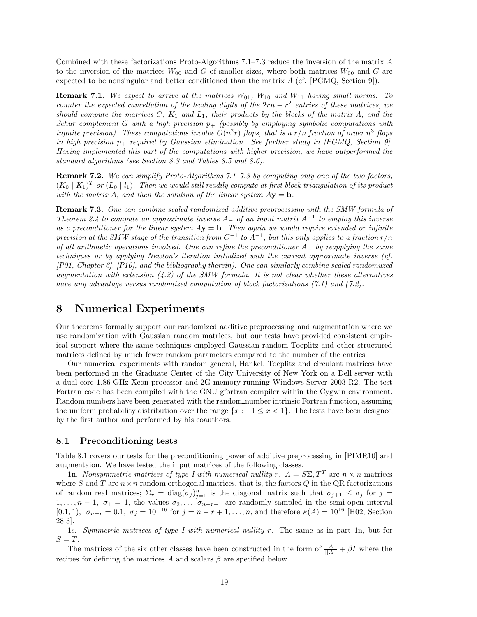Combined with these factorizations Proto-Algorithms 7.1–7.3 reduce the inversion of the matrix *A* to the inversion of the matrices  $W_{00}$  and *G* of smaller sizes, where both matrices  $W_{00}$  and *G* are expected to be nonsingular and better conditioned than the matrix *A* (cf. [PGMQ, Section 9]).

**Remark 7.1.** We expect to arrive at the matrices  $W_{01}$ ,  $W_{10}$  and  $W_{11}$  having small norms. To *counter the expected cancellation of the leading digits of the* 2*rn* − *r*<sup>2</sup> *entries of these matrices, we should compute the matrices C, K*<sup>1</sup> *and L*1*, their products by the blocks of the matrix A, and the Schur complement G* with a high precision  $p_+$  (possibly by employing symbolic computations with *infinite precision). These computations involve*  $O(n^2r)$  *flops, that is a*  $r/n$  *fraction of order*  $n^3$  *flops in high precision p*<sup>+</sup> *required by Gaussian elimination. See further study in [PGMQ, Section 9]. Having implemented this part of the computations with higher precision, we have outperformed the standard algorithms (see Section 8.3 and Tables 8.5 and 8.6).*

**Remark 7.2.** *We can simplify Proto-Algorithms 7.1–7.3 by computing only one of the two factors,*  $(K_0 | K_1)^T$  or  $(L_0 | l_1)$ . Then we would still readily compute at first block triangulation of its product *with the matrix A, and then the solution of the linear system*  $A$ **v** = **b***.* 

**Remark 7.3.** *One can combine scaled randomized additive preprocessing with the SMW formula of Theorem 2.4 to compute an approximate inverse <sup>A</sup>*<sup>−</sup> *of an input matrix <sup>A</sup>*−<sup>1</sup> *to employ this inverse* as a preconditioner for the linear system  $A$ **y** = **b**. Then again we would require extended or infinite *precision at the SMW stage of the transition from*  $C^{-1}$  *to*  $A^{-1}$ *, but this only applies to a fraction*  $r/n$ *of all arithmetic operations involved. One can refine the preconditioner A*<sup>−</sup> *by reapplying the same techniques or by applying Newton's iteration initialized with the current approximate inverse (cf. [P01, Chapter 6], [P10], and the bibliography therein). One can similarly combine scaled randomuzed augmentation with extension (4.2) of the SMW formula. It is not clear whether these alternatives have any advantage versus randomized computation of block factorizations (7.1) and (7.2).*

# **8 Numerical Experiments**

Our theorems formally support our randomized additive preprocessing and augmentation where we use randomization with Gaussian random matrices, but our tests have provided consistent empirical support where the same techniques employed Gaussian random Toeplitz and other structured matrices defined by much fewer random parameters compared to the number of the entries.

Our numerical experiments with random general, Hankel, Toeplitz and circulant matrices have been performed in the Graduate Center of the City University of New York on a Dell server with a dual core 1.86 GHz Xeon processor and 2G memory running Windows Server 2003 R2. The test Fortran code has been compiled with the GNU gfortran compiler within the Cygwin environment. Random numbers have been generated with the random number intrinsic Fortran function, assuming the uniform probability distribution over the range  $\{x : -1 \leq x < 1\}$ . The tests have been designed by the first author and performed by his coauthors.

### **8.1 Preconditioning tests**

Table 8.1 covers our tests for the preconditioning power of additive preprocessing in [PIMR10] and augmentaion. We have tested the input matrices of the following classes.

1n. *Nonsymmetric matrices of type I with numerical nullity*  $\overline{r}$ *.*  $A = S \Sigma_r T^T$  are  $n \times n$  matrices where *S* and *T* are  $n \times n$  random orthogonal matrices, that is, the factors *Q* in the QR factorizations of random real matrices;  $\Sigma_r = \text{diag}(\sigma_j)_{j=1}^n$  is the diagonal matrix such that  $\sigma_{j+1} \leq \sigma_j$  for  $j =$ 1,..., $n-1$ ,  $\sigma_1 = 1$ , the values  $\sigma_2, \ldots, \sigma_{n-r-1}$  are randomly sampled in the semi-open interval  $(0.1, 1)$ ,  $\sigma_{n-r} = 0.1$ ,  $\sigma_j = 10^{-16}$  for  $j = n-r+1, \ldots, n$ , and therefore  $\kappa(A) = 10^{16}$  [H02, Section 28.3].

1s. *Symmetric matrices of type I with numerical nullity r.* The same as in part 1n, but for  $S = T$ .

The matrices of the six other classes have been constructed in the form of  $\frac{A}{\|A\|} + \beta I$  where the recipes for defining the matrices *A* and scalars  $\beta$  are specified below.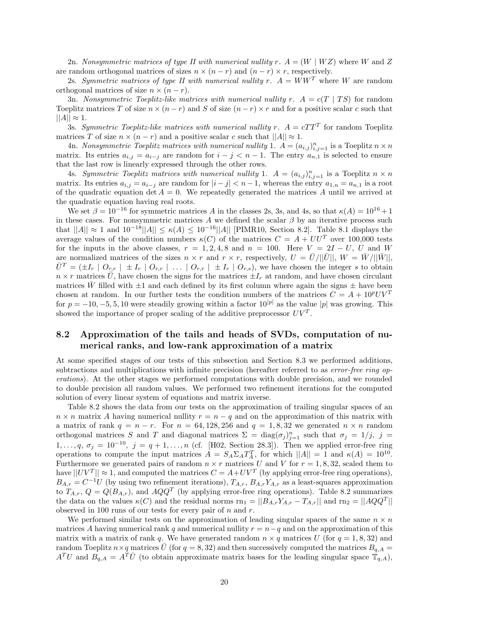2n. *Nonsymmetric matrices of type II with numerical nullity*  $r \cdot A = (W \mid WZ)$  where *W* and *Z* are random orthogonal matrices of sizes  $n \times (n - r)$  and  $(n - r) \times r$ , respectively.

2s. *Symmetric matrices of type II with numerical nullity*  $r$ *.*  $A = WW^T$  where W are random orthogonal matrices of size  $n \times (n - r)$ .

3n. *Nonsymmetric Toeplitz-like matrices with numerical nullity*  $r \cdot A = c(T | TS)$  *for random* Toeplitz matrices *T* of size  $n \times (n - r)$  and *S* of size  $(n - r) \times r$  and for a positive scalar *c* such that  $||A|| \approx 1.$ 

3s. *Symmetric Toeplitz-like matrices with numerical nullity*  $r$ *.*  $A = cTT^{T}$  for random Toeplitz matrices *T* of size  $n \times (n - r)$  and a positive scalar *c* such that  $||A|| \approx 1$ .

4n. *Nonsymmetric Toeplitz matrices with numerical nullity* 1.  $A = (a_{i,j})_{i,j=1}^n$  is a Toeplitz  $n \times n$ matrix. Its entries  $a_{i,j} = a_{i-j}$  are random for  $i - j < n - 1$ . The entry  $a_{n,1}$  is selected to ensure that the last row is linearly expressed through the other rows.

4s. *Symmetric Toeplitz matrices with numerical nullity* 1.  $A = (a_{i,j})_{i,j=1}^n$  is a Toeplitz  $n \times n$ matrix. Its entries  $a_{i,j} = a_{i-j}$  are random for  $|i - j| < n - 1$ , whereas the entry  $a_{1,n} = a_{n,1}$  is a root of the quadratic equation det  $A = 0$ . We repeatedly generated the matrices A until we arrived at the quadratic equation having real roots.

We set  $\beta = 10^{-16}$  for symmetric matrices *A* in the classes 2s, 3s, and 4s, so that  $\kappa(A) = 10^{16} + 1$ in these cases. For nonsymmetric matrices A we defined the scalar  $\beta$  by an iterative process such that  $||A|| \approx 1$  and  $10^{-18}||A|| ≤ \kappa(A) ≤ 10^{-16}||A||$  [PIMR10, Section 8.2]. Table 8.1 displays the average values of the condition numbers  $\kappa(C)$  of the matrices  $C = A + U U^T$  over 100,000 tests for the inputs in the above classes,  $r = 1, 2, 4, 8$  and  $n = 100$ . Here  $V = 2I - U$ , *U* and *W* are normalized matrices of the sizes  $n \times r$  and  $r \times r$ , respectively,  $U = \overline{U}/||\overline{U}||$ ,  $W = \overline{W}/||\overline{W}||$ ,  $\overline{U}^T = (\pm I_r \mid O_{r,r} \mid \pm I_r \mid O_{r,r} \mid \ldots \mid O_{r,r} \mid \pm I_r \mid O_{r,s})$ , we have chosen the integer s to obtain  $n \times r$  matrices  $\bar{U}$ , have chosen the signs for the matrices  $\pm I_r$  at random, and have chosen circulant matrices W filled with  $\pm 1$  and each defined by its first column where again the signs  $\pm$  have been chosen at random. In our further tests the condition numbers of the matrices  $C = A + 10^pUV^T$ for  $p = -10, -5, 5, 10$  were steadily growing within a factor  $10^{|p|}$  as the value  $|p|$  was growing. This showed the importance of proper scaling of the additive preprocessor  $UV<sup>T</sup>$ .

# **8.2 Approximation of the tails and heads of SVDs, computation of numerical ranks, and low-rank approximation of a matrix**

At some specified stages of our tests of this subsection and Section 8.3 we performed additions, subtractions and multiplications with infinite precision (hereafter referred to as *error-free ring operations*). At the other stages we performed computations with double precision, and we rounded to double precision all random values. We performed two refinement iterations for the computed solution of every linear system of equations and matrix inverse.

Table 8.2 shows the data from our tests on the approximation of trailing singular spaces of an  $n \times n$  matrix *A* having numerical nullity  $r = n - q$  and on the approximation of this matrix with a matrix of rank  $q = n - r$ . For  $n = 64, 128, 256$  and  $q = 1, 8, 32$  we generated  $n \times n$  random orthogonal matrices *S* and *T* and diagonal matrices  $\Sigma = \text{diag}(\sigma_j)_{j=1}^n$  such that  $\sigma_j = 1/j$ ,  $j =$ 1,...,q,  $\sigma_j = 10^{-10}$ ,  $j = q + 1, \ldots, n$  (cf. [H02, Section 28.3]). Then we applied error-free ring operations to compute the input matrices  $\ddot{A} = S_A \Sigma_A T_A^T$ , for which  $||A|| = 1$  and  $\kappa(A) = 10^{10}$ . Furthermore we generated pairs of random  $n \times r$  matrices U and V for  $r = 1, 8, 32$ , scaled them to have  $||UV^T|| \approx 1$ , and computed the matrices  $C = A + UV^T$  (by applying error-free ring operations),  $B_{A,r} = C^{-1}U$  (by using two refinement iterations),  $T_{A,r}$ ,  $B_{A,r}Y_{A,r}$  as a least-squares approximation to  $T_{A,r}$ ,  $Q = Q(B_{A,r})$ , and  $AQQ<sup>T</sup>$  (by applying error-free ring operations). Table 8.2 summarizes the data on the values  $\kappa(C)$  and the residual norms rn<sub>1</sub> =  $||B_{A,r}Y_{A,r} - T_{A,r}||$  and rn<sub>2</sub> =  $||AQQ<sup>T</sup>||$ observed in 100 runs of our tests for every pair of *n* and *r*.

We performed similar tests on the approximation of leading singular spaces of the same  $n \times n$ matrices *A* having numerical rank *q* and numerical nullity  $r = n - q$  and on the approximation of this matrix with a matrix of rank *q*. We have generated random  $n \times q$  matrices *U* (for  $q = 1, 8, 32$ ) and random Toeplitz  $n \times q$  matrices  $\bar{U}$  (for  $q = 8, 32$ ) and then successively computed the matrices  $B_{q,A}$  $A^T U$  and  $B_{q,A} = A^T \bar{U}$  (to obtain approximate matrix bases for the leading singular space  $\bar{T}_{q,A}$ ),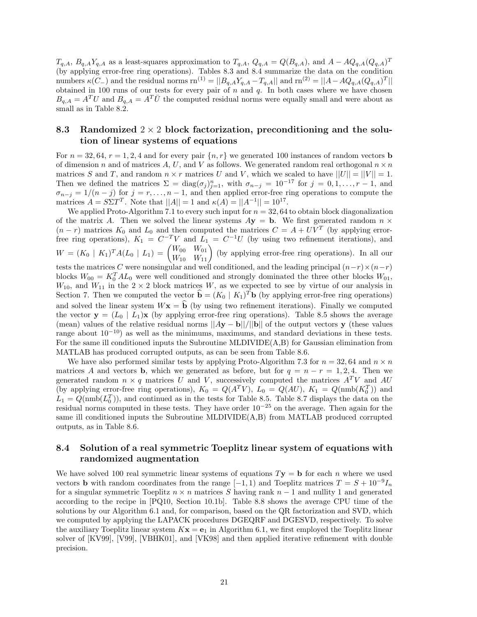$T_{q,A}, B_{q,A}Y_{q,A}$  as a least-squares approximation to  $T_{q,A}, Q_{q,A} = Q(B_{q,A})$ , and  $A - AQ_{q,A}(Q_{q,A})^T$ (by applying error-free ring operations). Tables 8.3 and 8.4 summarize the data on the condition numbers  $\kappa(C_-)$  and the residual norms  $\text{rn}^{(1)} = ||B_{q,A}Y_{q,A} - T_{q,A}||$  and  $\text{rn}^{(2)} = ||A - AQ_{q,A}(Q_{q,A})^T||$ obtained in 100 runs of our tests for every pair of *n* and *q*. In both cases where we have chosen  $B_{q,A} = A^T U$  and  $B_{q,A} = A^T \overline{U}$  the computed residual norms were equally small and were about as small as in Table 8.2.

# **8.3 Randomized** 2 × 2 **block factorization, preconditioning and the solution of linear systems of equations**

For  $n = 32, 64, r = 1, 2, 4$  and for every pair  $\{n, r\}$  we generated 100 instances of random vectors **b** of dimension *n* and of matrices A, U, and V as follows. We generated random real orthogonal  $n \times n$ matrices *S* and *T*, and random  $n \times r$  matrices *U* and *V*, which we scaled to have  $||U|| = ||V|| = 1$ . Then we defined the matrices  $\Sigma = \text{diag}(\sigma_j)_{j=1}^n$ , with  $\sigma_{n-j} = 10^{-17}$  for  $j = 0, 1, \ldots, r-1$ , and  $\sigma_{n-j} = 1/(n-j)$  for  $j = r, \ldots, n-1$ , and then applied error-free ring operations to compute the matrices  $A = S\Sigma T^T$ . Note that  $||A|| = 1$  and  $\kappa(A) = ||A^{-1}|| = 10^{17}$ .

We applied Proto-Algorithm 7.1 to every such input for  $n = 32, 64$  to obtain block diagonalization of the matrix A. Then we solved the linear systems  $Ay = b$ . We first generated random  $n \times$  $(n - r)$  matrices  $K_0$  and  $L_0$  and then computed the matrices  $C = A + U\overline{V}$  (by applying errorfree ring operations),  $K_1 = C^{-T}V$  and  $L_1 = C^{-1}U$  (by using two refinement iterations), and  $W = (K_0 \mid K_1)^T A (L_0 \mid L_1) = \begin{pmatrix} W_{00} & W_{01} \\ W_{10} & W_{11} \end{pmatrix}$  (by applying error-free ring operations). In all our tests the matrices *C* were nonsingular and well conditioned, and the leading principal  $(n-r) \times (n-r)$ blocks  $W_{00} = K_0^T A L_0$  were well conditioned and strongly dominated the three other blocks  $W_{01}$ ,  $W_{10}$ , and  $W_{11}$  in the  $2 \times 2$  block matrices *W*, as we expected to see by virtue of our analysis in Section 7. Then we computed the vector  $\hat{\mathbf{b}} = (K_0 | K_1)^T \mathbf{b}$  (by applying error-free ring operations) and solved the linear system  $W$ **x** =  $\hat{b}$  (by using two refinement iterations). Finally we computed the vector  $\mathbf{y} = (L_0 \mid L_1)\mathbf{x}$  (by applying error-free ring operations). Table 8.5 shows the average (mean) values of the relative residual norms  $||Ay - b||/||b||$  of the output vectors **y** (these values range about  $10^{-10}$ ) as well as the minimums, maximums, and standard deviations in these tests. For the same ill conditioned inputs the Subroutine MLDIVIDE(A,B) for Gaussian elimination from MATLAB has produced corrupted outputs, as can be seen from Table 8.6.

We have also performed similar tests by applying Proto-Algorithm 7.3 for  $n = 32,64$  and  $n \times n$ matrices *A* and vectors **b**, which we generated as before, but for  $q = n - r = 1, 2, 4$ . Then we generated random  $n \times q$  matrices  $U$  and  $V$ , successively computed the matrices  $A^T V$  and  $A U$ (by applying error-free ring operations),  $K_0 = Q(A^T V)$ ,  $L_0 = Q(AU)$ ,  $K_1 = Q(\text{nmb}(K_0^T))$  and  $L_1 = Q(\text{nmb}(L_0^T))$ , and continued as in the tests for Table 8.5. Table 8.7 displays the data on the residual norms computed in these tests. They have order  $10^{-25}$  on the average. Then again for the same ill conditioned inputs the Subroutine MLDIVIDE(A,B) from MATLAB produced corrupted outputs, as in Table 8.6.

# **8.4 Solution of a real symmetric Toeplitz linear system of equations with randomized augmentation**

We have solved 100 real symmetric linear systems of equations  $T$ **y** = **b** for each *n* where we used vectors **b** with random coordinates from the range  $[-1, 1)$  and Toeplitz matrices  $T = S + 10^{-9}I_n$ for a singular symmetric Toeplitz  $n \times n$  matrices *S* having rank  $n-1$  and nullity 1 and generated according to the recipe in [PQ10, Section 10.1b]. Table 8.8 shows the average CPU time of the solutions by our Algorithm 6.1 and, for comparison, based on the QR factorization and SVD, which we computed by applying the LAPACK procedures DGEQRF and DGESVD, respectively. To solve the auxiliary Toeplitz linear system  $Kx = e_1$  in Algorithm 6.1, we first employed the Toeplitz linear solver of [KV99], [V99], [VBHK01], and [VK98] and then applied iterative refinement with double precision.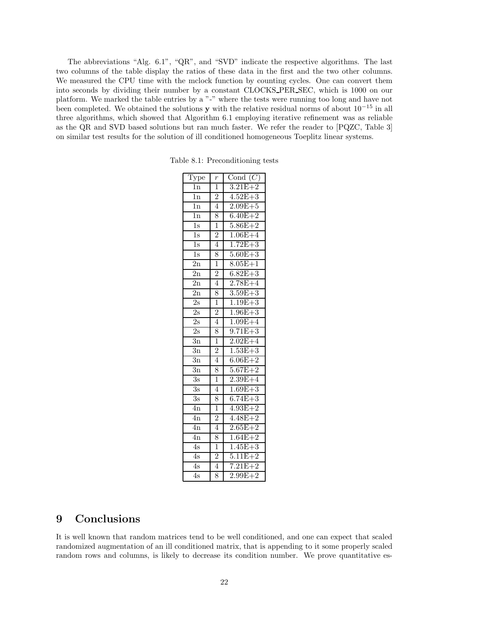The abbreviations "Alg. 6.1", "QR", and "SVD" indicate the respective algorithms. The last two columns of the table display the ratios of these data in the first and the two other columns. We measured the CPU time with the mclock function by counting cycles. One can convert them into seconds by dividing their number by a constant CLOCKS PER SEC, which is 1000 on our platform. We marked the table entries by a "-" where the tests were running too long and have not been completed. We obtained the solutions **y** with the relative residual norms of about 10−<sup>15</sup> in all three algorithms, which showed that Algorithm 6.1 employing iterative refinement was as reliable as the QR and SVD based solutions but ran much faster. We refer the reader to [PQZC, Table 3] on similar test results for the solution of ill conditioned homogeneous Toeplitz linear systems.

| Type             | $\frac{r}{1}$  | Cond $(C)$  |
|------------------|----------------|-------------|
| 1n               |                | $3.21E + 2$ |
| $\overline{1n}$  | $\overline{2}$ | $4.52E + 3$ |
| 1n               | $\overline{4}$ | $2.09E + 5$ |
| $\overline{1}n$  | 8              | $6.40E + 2$ |
| $\overline{1s}$  | $\overline{1}$ | $5.86E + 2$ |
| $\overline{1s}$  | $\overline{2}$ | $1.06E + 4$ |
| $\overline{1s}$  | $\overline{4}$ | $1.72E + 3$ |
| $\overline{1s}$  | 8              | $5.60E + 3$ |
| $\overline{2n}$  | $\overline{1}$ | $8.05E + 1$ |
| $\overline{2n}$  | $\overline{2}$ | $6.82E + 3$ |
| $\overline{2n}$  | $\overline{4}$ | $2.78E + 4$ |
| $\overline{2n}$  | 8              | $3.59E + 3$ |
| $\overline{2s}$  | $\overline{1}$ | $1.19E + 3$ |
| $\overline{2s}$  | $\frac{2}{4}$  | $1.96E + 3$ |
| 2s               |                | $1.09E + 4$ |
| $\overline{2}$ s | 8              | $9.71E + 3$ |
| $\overline{3}n$  | $\overline{1}$ | $2.02E + 4$ |
| $\overline{3n}$  | $\overline{2}$ | $1.53E + 3$ |
| $\overline{3}n$  | $\overline{4}$ | $6.06E + 2$ |
| $\overline{3n}$  | 8              | $5.67E + 2$ |
| 3s               | $\overline{1}$ | $2.39E + 4$ |
| $\overline{3s}$  | $\overline{4}$ | $1.69E + 3$ |
| 3s               | 8              | $6.74E + 3$ |
| $\overline{4n}$  | $\overline{1}$ | $4.93E + 2$ |
| $\overline{4n}$  | $\frac{2}{4}$  | $4.48E + 2$ |
| $\overline{4n}$  |                | $2.65E + 2$ |
| $\overline{4n}$  | 8              | $1.64E + 2$ |
| 4s               | $\overline{1}$ | $1.45E + 3$ |
| 4s               |                | $5.11E + 2$ |
| $\overline{4s}$  | $\frac{2}{4}$  | $7.21E + 2$ |
| $\overline{4s}$  | $\overline{8}$ | $2.99E + 2$ |

Table 8.1: Preconditioning tests

# **9 Conclusions**

It is well known that random matrices tend to be well conditioned, and one can expect that scaled randomized augmentation of an ill conditioned matrix, that is appending to it some properly scaled random rows and columns, is likely to decrease its condition number. We prove quantitative es-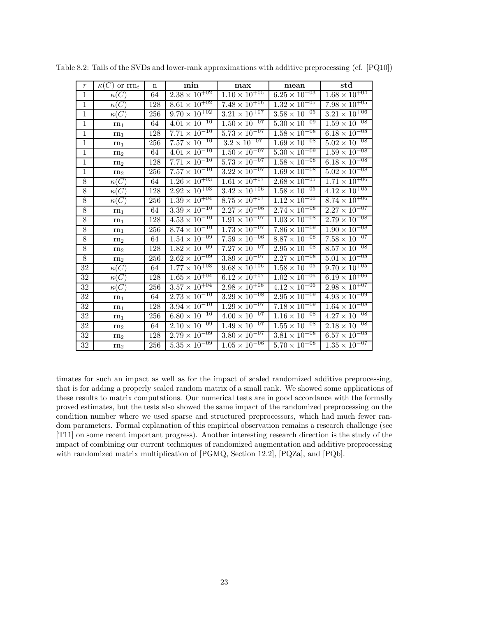| $\,r\,$        | $\kappa(C)$ or $\text{rrn}_i$ | $\mathbf n$ | min                               | max                               | mean                              | std                               |
|----------------|-------------------------------|-------------|-----------------------------------|-----------------------------------|-----------------------------------|-----------------------------------|
| $\mathbf{1}$   | $\kappa(C)$                   | 64          | $2.38 \times 10^{+02}$            | $1.\overline{10 \times 10^{+05}}$ | $6.25 \times 10^{+03}$            | $1.68 \times 10^{+04}$            |
| $\overline{1}$ | $\kappa(C)$                   | 128         | $8.61 \times 10^{+02}$            | $7.48 \times 10^{+06}$            | $1.32 \times 10^{+05}$            | $7.98 \times 10^{+05}$            |
| $\mathbf{1}$   | $\kappa(C)$                   | 256         | $9.70 \times 10^{+02}$            | $3.21 \times 10^{+07}$            | $3.58 \times 10^{+05}$            | $3.21 \times 10^{+06}$            |
| $\mathbf{1}$   | $rn_1$                        | 64          | $4.01 \times 10^{-10}$            | $1.50 \times 10^{-07}$            | $5.\overline{30 \times 10^{-09}}$ | $1.59 \times 10^{-08}$            |
| $\mathbf{1}$   | rn <sub>1</sub>               | 128         | $7.71 \times 10^{-10}$            | $5.73 \times 10^{-07}$            | $1.58 \times 10^{-08}$            | $6.18 \times 10^{-08}$            |
| $\mathbf{1}$   | $rn_1$                        | 256         | $7.57 \times 10^{-10}$            | $3.2 \times 10^{-07}$             | $1.69 \times 10^{-08}$            | $5.02 \times 10^{-08}$            |
| $\mathbf{1}$   | rn <sub>2</sub>               | 64          | $4.01 \times 10^{-10}$            | $1.50 \times 10^{-07}$            | $5.30 \times 10^{-09}$            | $1.59 \times 10^{-08}$            |
| $\overline{1}$ | ${\rm rn}_2$                  | 128         | $7.71 \times 10^{-10}$            | $5.73 \times 10^{-07}$            | $1.58 \times 10^{-08}$            | $6.18 \times 10^{-08}$            |
| $\mathbf{1}$   | rn <sub>2</sub>               | 256         | $7.57 \times 10^{-10}$            | $3.\overline{22 \times 10^{-07}}$ | $1.69 \times 10^{-08}$            | $5.02 \times 10^{-08}$            |
| $8\,$          | $\kappa(C)$                   | 64          | $1.26 \times 10^{+03}$            | $1.61 \times 10^{+07}$            | $2.68 \times 10^{+05}$            | $1.71 \times 10^{+06}$            |
| 8              | $\kappa(C)$                   | 128         | $2.92 \times 10^{+03}$            | $3.42 \times 10^{+06}$            | $1.58 \times 10^{+05}$            | $4.12 \times 10^{+05}$            |
| 8              | $\kappa(C)$                   | 256         | $1.39 \times 10^{+04}$            | $8.75 \times 10^{+07}$            | $1.\overline{12 \times 10^{+06}}$ | $8.74 \times 10^{+06}$            |
| 8              | $rn_1$                        | 64          | $3.39 \times 10^{-10}$            | $2.27 \times 10^{-06}$            | $2.74 \times 10^{-08}$            | $2.27 \times 10^{-07}$            |
| $8\,$          | $rn_1$                        | 128         | $4.53 \times 10^{-10}$            | $1.91 \times 10^{-07}$            | $1.03 \times 10^{-08}$            | $2.79 \times 10^{-08}$            |
| $8\,$          | $rn_1$                        | 256         | $8.74 \times 10^{-10}$            | $1.73 \times 10^{-07}$            | $7.\overline{86} \times 10^{-09}$ | $1.90 \times 10^{-08}$            |
| 8              | rn <sub>2</sub>               | 64          | $1.54 \times 10^{-09}$            | $7.59 \times 10^{-06}$            | $8.87 \times 10^{-08}$            | $7.58 \times 10^{-07}$            |
| $\overline{8}$ | rn <sub>2</sub>               | 128         | $1.82 \times 10^{-09}$            | $7.\overline{27 \times 10^{-07}}$ | $2.95 \times 10^{-08}$            | $8.57 \times 10^{-08}$            |
| $\overline{8}$ | rn <sub>2</sub>               | 256         | $2.62 \times 10^{-09}$            | $3.89 \times 10^{-07}$            | $2.\overline{27 \times 10^{-08}}$ | $5.01 \times 10^{-08}$            |
| $32\,$         | $\kappa(C)$                   | 64          | $1.77 \times 10^{+03}$            | $9.68 \times 10^{+06}$            | $1.58 \times 10^{+05}$            | $9.70 \times 10^{+05}$            |
| 32             | $\kappa(C)$                   | 128         | $1.65 \times 10^{+04}$            | $6.12 \times 10^{+07}$            | $1.02 \times 10^{+06}$            | $6.19 \times 10^{+06}$            |
| 32             | $\kappa(C)$                   | 256         | $3.57 \times 10^{+04}$            | $2.98 \times 10^{+08}$            | $4.12 \times 10^{+06}$            | $2.98 \times 10^{+07}$            |
| 32             | $rn_1$                        | 64          | $2.\overline{73 \times 10^{-10}}$ | $3.29 \times 10^{-08}$            | $2.\overline{95 \times 10^{-09}}$ | $4.93 \times 10^{-09}$            |
| 32             | $rn_1$                        | 128         | $3.94 \times 10^{-10}$            | $1.\overline{29 \times 10^{-07}}$ | $7.\overline{18 \times 10^{-09}}$ | $1.64 \times 10^{-08}$            |
| $32\,$         | rn <sub>1</sub>               | 256         | $6.80 \times 10^{-10}$            | $4.00 \times 10^{-07}$            | $1.16 \times 10^{-08}$            | $4.27 \times 10^{-08}$            |
| 32             | rn <sub>2</sub>               | 64          | $2.10 \times 10^{-09}$            | $1.49 \times 10^{-07}$            | $1.\overline{55} \times 10^{-08}$ | $2.18 \times 10^{-08}$            |
| 32             | rn <sub>2</sub>               | 128         | $2.\overline{79 \times 10^{-09}}$ | $3.\overline{80 \times 10^{-07}}$ | $3.\overline{81 \times 10^{-08}}$ | $6.57 \times 10^{-08}$            |
| 32             | rn <sub>2</sub>               | 256         | $5.35 \times 10^{-09}$            | $1.05 \times 10^{-06}$            | $5.70 \times 10^{-08}$            | $1.\overline{35 \times 10^{-07}}$ |

Table 8.2: Tails of the SVDs and lower-rank approximations with additive preprocessing (cf. [PQ10])

timates for such an impact as well as for the impact of scaled randomized additive preprocessing, that is for adding a properly scaled random matrix of a small rank. We showed some applications of these results to matrix computations. Our numerical tests are in good accordance with the formally proved estimates, but the tests also showed the same impact of the randomized preprocessing on the condition number where we used sparse and structured preprocessors, which had much fewer random parameters. Formal explanation of this empirical observation remains a research challenge (see [T11] on some recent important progress). Another interesting research direction is the study of the impact of combining our current techniques of randomized augmentation and additive preprocessing with randomized matrix multiplication of [PGMQ, Section 12.2], [PQZa], and [PQb].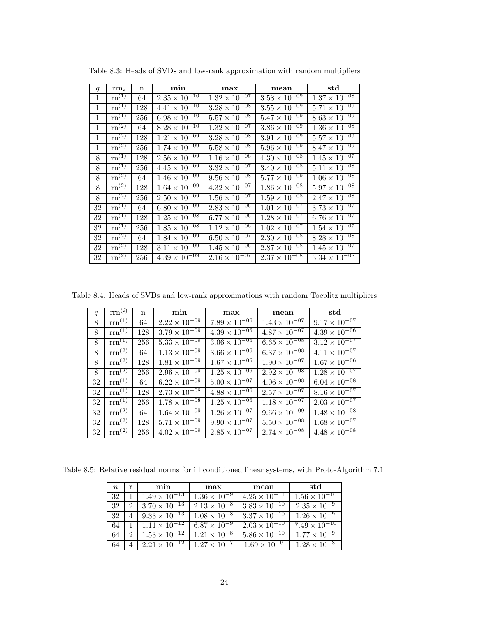| q            | $rm_i$                         | $\mathbf n$ | min                    | max                    | mean                              | std                               |
|--------------|--------------------------------|-------------|------------------------|------------------------|-----------------------------------|-----------------------------------|
| 1            | $rn^{(1)}$                     | 64          | $2.35 \times 10^{-10}$ | $1.32 \times 10^{-07}$ | $3.58 \times 10^{-09}$            | $1.37 \times 10^{-08}$            |
| $\mathbf{1}$ | $\overline{\mathrm{rn}}^{(1)}$ | 128         | $4.41 \times 10^{-10}$ | $3.28 \times 10^{-08}$ | $3.55 \times 10^{-09}$            | $5.71 \times 10^{-09}$            |
| 1            | $\overline{\text{rn}^{(1)}}$   | 256         | $6.98 \times 10^{-10}$ | $5.57 \times 10^{-08}$ | $5.47 \times 10^{-09}$            | $8.63 \times \overline{10^{-09}}$ |
| 1            | $\mathrm{rn}^{\left(2\right)}$ | 64          | $8.28 \times 10^{-10}$ | $1.32 \times 10^{-07}$ | $3.86 \times 10^{-09}$            | $1.36 \times 10^{-08}$            |
| 1            | $\mathrm{rn}^{\left(2\right)}$ | 128         | $1.21 \times 10^{-09}$ | $3.28 \times 10^{-08}$ | $3.91 \times 10^{-09}$            | $5.57 \times 10^{-09}$            |
| 1            | $\overline{\text{rn}^{(2)}}$   | 256         | $1.74 \times 10^{-09}$ | $5.58 \times 10^{-08}$ | $5.96 \times 10^{-09}$            | $8.47 \times 10^{-09}$            |
| 8            | $rn^{(1)}$                     | 128         | $2.56 \times 10^{-09}$ | $1.16 \times 10^{-06}$ | $4.30 \times 10^{-\overline{08}}$ | $1.45 \times \sqrt{10^{-07}}$     |
| 8            | $\overline{\mathrm{rn}^{(1)}}$ | 256         | $4.45 \times 10^{-09}$ | $3.32 \times 10^{-07}$ | $3.40 \times 10^{-08}$            | $5.11 \times 10^{-08}$            |
| 8            | $\rm{rn}^{(2)}$                | 64          | $1.46 \times 10^{-09}$ | $9.56 \times 10^{-08}$ | $5.77 \times 10^{-09}$            | $1.06 \times 10^{-08}$            |
| 8            | $\overline{\mathrm{rn}}^{(2)}$ | 128         | $1.64 \times 10^{-09}$ | $4.32 \times 10^{-07}$ | $1.86 \times 10^{-08}$            | $5.97 \times 10^{-08}$            |
| 8            | $\mathrm{rn}^{(2)}$            | 256         | $2.50 \times 10^{-09}$ | $1.56 \times 10^{-07}$ | $1.59 \times 10^{-\overline{08}}$ | $2.47 \times 10^{-08}$            |
| 32           | $\mathrm{rn}^{(1)}$            | 64          | $6.80 \times 10^{-09}$ | $2.83 \times 10^{-06}$ | $1.01 \times 10^{-07}$            | $3.73 \times 10^{-07}$            |
| 32           | $\mathrm{rn}^{(1)}$            | 128         | $1.25 \times 10^{-08}$ | $6.77 \times 10^{-06}$ | $1.28 \times 10^{-07}$            | $6.76 \times 10^{-07}$            |
| 32           | $\mathrm{rn}^{(1)}$            | 256         | $1.85 \times 10^{-08}$ | $1.12 \times 10^{-06}$ | $1.02 \times 10^{-07}$            | $1.54 \times 10^{-07}$            |
| 32           | $\mathrm{rn}^{(2)}$            | 64          | $1.84 \times 10^{-09}$ | $6.50 \times 10^{-07}$ | $2.30 \times 10^{-08}$            | $8.28 \times 10^{-08}$            |
| 32           | $\mathrm{rn}^{(2)}$            | 128         | $3.11 \times 10^{-09}$ | $1.45 \times 10^{-06}$ | $2.87 \times 10^{-08}$            | $1.45 \times 10^{-07}$            |
| 32           | $\overline{\mathrm{rn}^{(2)}}$ | 256         | $4.39 \times 10^{-09}$ | $2.16 \times 10^{-07}$ | $2.37 \times 10^{-08}$            | $3.34 \times 10^{-08}$            |

Table 8.3: Heads of SVDs and low-rank approximation with random multipliers

Table 8.4: Heads of SVDs and low-rank approximations with random Toeplitz multipliers

| q  | $\text{rrn}^{(i)}$            | $\mathbf n$ | min                    | max                               | mean                   | std                    |
|----|-------------------------------|-------------|------------------------|-----------------------------------|------------------------|------------------------|
| 8  | $rm^{(1)}$                    | 64          | $2.22 \times 10^{-09}$ | $7.89 \times 10^{-06}$            | $1.43 \times 10^{-07}$ | $9.17 \times 10^{-07}$ |
| 8  | $rm^{(1)}$                    | 128         | $3.79 \times 10^{-09}$ | $4.39 \times 10^{-05}$            | $4.87 \times 10^{-07}$ | $4.39 \times 10^{-06}$ |
| 8  | $rm^{(1)}$                    | 256         | $5.33 \times 10^{-09}$ | $3.06 \times 10^{-06}$            | $6.65 \times 10^{-08}$ | $3.12 \times 10^{-07}$ |
| 8  | $rm^{(2)}$                    | 64          | $1.13 \times 10^{-09}$ | $3.66 \times 10^{-06}$            | $6.37 \times 10^{-08}$ | $4.11 \times 10^{-07}$ |
| 8  | $\overline{\text{rrn}^{(2)}}$ | 128         | $1.81 \times 10^{-09}$ | $1.67 \times 10^{-05}$            | $1.90 \times 10^{-07}$ | $1.67 \times 10^{-06}$ |
| 8  | $\overline{\text{rrn}^{(2)}}$ | 256         | $2.96 \times 10^{-09}$ | $1.25 \times 10^{-06}$            | $2.92 \times 10^{-08}$ | $1.28 \times 10^{-07}$ |
| 32 | $rm^{(1)}$                    | 64          | $6.22 \times 10^{-09}$ | $5.00 \times 10^{-07}$            | $4.06 \times 10^{-08}$ | $6.04 \times 10^{-08}$ |
| 32 | $rm^{(1)}$                    | 128         | $2.73 \times 10^{-08}$ | $4.88 \times 10^{-06}$            | $2.57 \times 10^{-07}$ | $8.16 \times 10^{-07}$ |
| 32 | $rm^{(1)}$                    | 256         | $1.78 \times 10^{-08}$ | $1.25 \times 10^{-06}$            | $1.18 \times 10^{-07}$ | $2.03 \times 10^{-07}$ |
| 32 | $\rm{rrn}^{(2)}$              | 64          | $1.64 \times 10^{-09}$ | $1.26 \times 10^{-07}$            | $9.66 \times 10^{-09}$ | $1.48 \times 10^{-08}$ |
| 32 | $rm^{(2)}$                    | 128         | $5.71 \times 10^{-09}$ | $9.90 \times 10^{-07}$            | $5.50 \times 10^{-08}$ | $1.68 \times 10^{-07}$ |
| 32 | $rm^{(2)}$                    | 256         | $4.02 \times 10^{-09}$ | $2.85 \times 10^{-\overline{07}}$ | $2.74 \times 10^{-08}$ | $4.48 \times 10^{-08}$ |

Table 8.5: Relative residual norms for ill conditioned linear systems, with Proto-Algorithm 7.1

| $n_{\rm c}$ | r | min                    | max                   | mean                   | std                    |
|-------------|---|------------------------|-----------------------|------------------------|------------------------|
| 32          |   | $1.49 \times 10^{-13}$ | $1.36 \times 10^{-9}$ | $4.25 \times 10^{-11}$ | $1.56 \times 10^{-10}$ |
| 32          |   | $3.70 \times 10^{-13}$ | $2.13 \times 10^{-8}$ | $3.83 \times 10^{-10}$ | $2.35 \times 10^{-9}$  |
| 32          |   | $9.33 \times 10^{-13}$ | $1.08 \times 10^{-8}$ | $3.37 \times 10^{-10}$ | $1.26 \times 10^{-9}$  |
| 64          |   | $1.11 \times 10^{-12}$ | $6.87 \times 10^{-9}$ | $2.03 \times 10^{-10}$ | $7.49 \times 10^{-10}$ |
| 64          | 2 | $1.53 \times 10^{-12}$ | $1.21 \times 10^{-8}$ | $5.86 \times 10^{-10}$ | $1.77 \times 10^{-9}$  |
|             |   | $2.21 \times 10^{-12}$ | $1.27 \times 10^{-7}$ | $1.69 \times 10^{-9}$  | $1.28 \times 10^{-8}$  |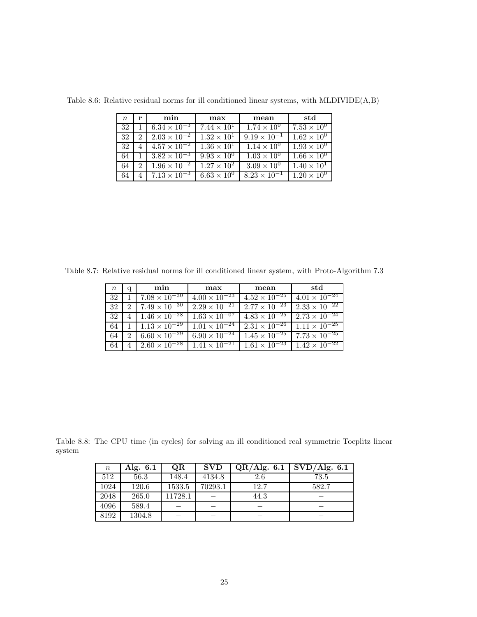| $n_{\rm c}$ | r             | min                   | max                  | mean                  | std                  |
|-------------|---------------|-----------------------|----------------------|-----------------------|----------------------|
| 32          |               | $6.34 \times 10^{-3}$ | $7.44 \times 10^{1}$ | $1.74 \times 10^{0}$  | $7.53 \times 10^{0}$ |
| 32          | $\mathcal{D}$ | $2.03 \times 10^{-2}$ | $1.32 \times 10^{1}$ | $9.19 \times 10^{-1}$ | $1.62 \times 10^{0}$ |
| 32          | 4             | $4.57 \times 10^{-2}$ | $1.36 \times 10^{1}$ | $1.14 \times 10^{0}$  | $1.93 \times 10^{0}$ |
| 64          |               | $3.82 \times 10^{-3}$ | $9.93 \times 10^{0}$ | $1.03 \times 10^{0}$  | $1.66 \times 10^{0}$ |
| 64          | 2             | $1.96 \times 10^{-2}$ | $1.27 \times 10^{2}$ | $3.09 \times 10^{0}$  | $1.40 \times 10^{1}$ |
|             |               | $7.13 \times 10^{-3}$ | $6.63 \times 10^{0}$ | $8.23 \times 10^{-1}$ | $1.20 \times 10^{0}$ |

Table 8.6: Relative residual norms for ill conditioned linear systems, with MLDIVIDE(A,B)

Table 8.7: Relative residual norms for ill conditioned linear system, with Proto-Algorithm 7.3

| $\, n$ | q                           | min                           | max                               | mean                                                                 | std                                           |
|--------|-----------------------------|-------------------------------|-----------------------------------|----------------------------------------------------------------------|-----------------------------------------------|
| 32     |                             | $7.08 \times 10^{-30}$        | $4.00 \times 10^{-23}$            | $4.52 \times 10^{-25}$                                               | $4.01 \times 10^{-24}$                        |
| 32     | $\mathcal{D}_{\mathcal{L}}$ | $7.49 \times 10^{-30}$        | $2.29 \times 10^{-21}$            | $2.77 \times 10^{-23}$                                               | $2.33 \times 10^{-22}$                        |
| -32    | $\overline{4}$              | $1.46 \times 10^{-28}$        | $1.63 \times 10^{-07}$            | $4.83 \times 10^{-25}$                                               | $2.73 \times 10^{-24}$                        |
| 64     |                             | $1 \mid 1.13 \times 10^{-29}$ | $1.01 \times \overline{10^{-24}}$ |                                                                      | $2.31 \times 10^{-26}$ 1.11 $\times 10^{-25}$ |
| -64    | $\mathcal{D}_{\mathcal{L}}$ | $6.60 \times 10^{-29}$        | $6.90 \times 10^{-24}$            | $1.45 \times 10^{-25}$                                               | $7.73 \times 10^{-25}$                        |
| 64     |                             | $4 \mid 2.60 \times 10^{-28}$ |                                   | $1.41 \times 10^{-21}$ $1.61 \times 10^{-23}$ $1.42 \times 10^{-22}$ |                                               |

Table 8.8: The CPU time (in cycles) for solving an ill conditioned real symmetric Toeplitz linear system

| $\, n \,$ | Alg. $6.1$ | QR      | <b>SVD</b> | QR/Alg. 6.1 | $\overline{\mathrm{SVD}}/\mathrm{Alg.}$ 6.1 |
|-----------|------------|---------|------------|-------------|---------------------------------------------|
| 512       | 56.3       | 148.4   | 4134.8     | 2.6         | 73.5                                        |
| 1024      | 120.6      | 1533.5  | 70293.1    | 12.7        | 582.7                                       |
| 2048      | 265.0      | 11728.1 |            | 44.3        |                                             |
| 4096      | 589.4      |         |            |             |                                             |
| 8192      | 1304.8     |         |            |             |                                             |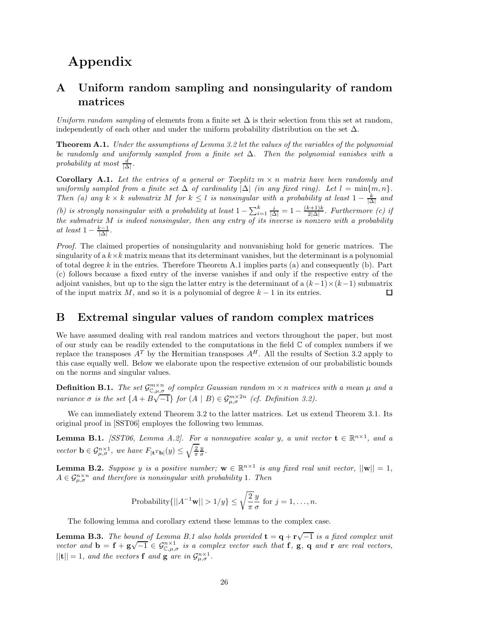# **Appendix**

# **A Uniform random sampling and nonsingularity of random matrices**

*Uniform random sampling* of elements from a finite set  $\Delta$  is their selection from this set at random, independently of each other and under the uniform probability distribution on the set  $\Delta$ .

**Theorem A.1.** *Under the assumptions of Lemma 3.2 let the values of the variables of the polynomial be randomly and uniformly sampled from a finite set* ∆*. Then the polynomial vanishes with a*  $\text{probability at most } \frac{d}{|\Delta|}.$ 

**Corollary A.1.** Let the entries of a general or Toeplitz  $m \times n$  matrix have been randomly and *uniformly sampled from a finite set*  $\Delta$  *of cardinality*  $|\Delta|$  *(in any fixed ring). Let*  $l = \min\{m, n\}$ *. Then* (a) any  $k \times k$  *submatrix M for*  $k \leq l$  *is nonsingular with a probability at least*  $1 - \frac{k}{|\Delta|}$  *and (b) is strongly nonsingular with a probability at least*  $1 - \sum_{i=1}^{k} \frac{i}{|\Delta|} = 1 - \frac{(k+1)k}{2|\Delta|}$ . Furthermore *(c) if the submatrix M is indeed nonsingular, then any entry of its inverse is nonzero with a probability at least*  $1 - \frac{k-1}{|\Delta|}$ .

*Proof.* The claimed properties of nonsingularity and nonvanishing hold for generic matrices. The singularity of a  $k \times k$  matrix means that its determinant vanishes, but the determinant is a polynomial of total degree *k* in the entries. Therefore Theorem A.1 implies parts (a) and consequently (b). Part (c) follows because a fixed entry of the inverse vanishes if and only if the respective entry of the adjoint vanishes, but up to the sign the latter entry is the determinant of a  $(k-1)\times(k-1)$  submatrix of the input matrix *M*, and so it is a polynomial of degree  $k - 1$  in its entries. ◻

# **B Extremal singular values of random complex matrices**

We have assumed dealing with real random matrices and vectors throughout the paper, but most of our study can be readily extended to the computations in the field  $\mathbb C$  of complex numbers if we replace the transposes  $A^T$  by the Hermitian transposes  $A^H$ . All the results of Section 3.2 apply to this case equally well. Below we elaborate upon the respective extension of our probabilistic bounds on the norms and singular values.

**Definition B.1.** *The set*  $\mathcal{G}^{m \times n}_{\mathbb{C},\mu,\sigma}$  *of complex Gaussian random*  $m \times n$  *matrices with a mean*  $\mu$  *and a variance*  $\sigma$  *is the set*  $\{A + B\sqrt{-1}\}$  *for*  $(A | B) \in \mathcal{G}_{\mu,\sigma}^{m\times2n}$  *(cf. Definition 3.2).* 

We can immediately extend Theorem 3.2 to the latter matrices. Let us extend Theorem 3.1. Its original proof in [SST06] employes the following two lemmas.

**Lemma B.1.** *[SST06, Lemma A.2]. For a nonnegative scalar y, a unit vector*  $\mathbf{t} \in \mathbb{R}^{n \times 1}$ *, and a vector*  $\mathbf{b} \in \mathcal{G}_{\mu,\sigma}^{n \times 1}$ , we have  $F_{|\mathbf{t}^T\mathbf{b}|}(y) \leq \sqrt{\frac{2}{\pi}} \frac{y}{\sigma}$ .

**Lemma B.2.** *Suppose y is a positive number;*  $\mathbf{w} \in \mathbb{R}^{n \times 1}$  *is any fixed real unit vector,*  $||\mathbf{w}|| = 1$ *,*  $A \in \mathcal{G}_{\mu,\sigma}^{n \times n}$  *and therefore is nonsingular with probability* 1*. Then* 

Probability
$$
\{||A^{-1}\mathbf{w}|| > 1/y\} \le \sqrt{\frac{2}{\pi}} \frac{y}{\sigma}
$$
 for  $j = 1, ..., n$ .

The following lemma and corollary extend these lemmas to the complex case.

**Lemma B.3.** *The bound of Lemma B.1 also holds provided*  $\mathbf{t} = \mathbf{q} + \mathbf{r} \sqrt{-1}$  *is a fixed complex unit vector and*  $\mathbf{b} = \mathbf{f} + \mathbf{g}\sqrt{-1} \in \mathcal{G}_{\mathbb{C},\mu,\sigma}^{n\times1}$  *is a complex vector such that* **f**, **g**, **q** *and* **r** *are real vectors,*  $||{\bf t}|| = 1$ *, and the vectors* **f** *and* **g** *are in*  $\mathcal{G}_{\mu,\sigma}^{n\times1}$ *.*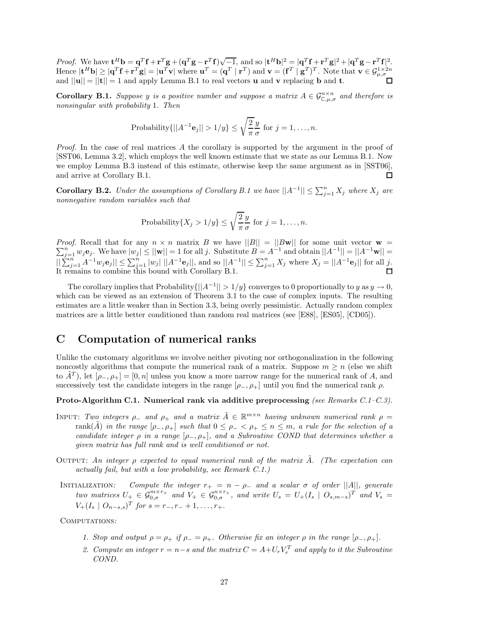*Proof.* We have  $\mathbf{t}^H \mathbf{b} = \mathbf{q}^T \mathbf{f} + \mathbf{r}^T \mathbf{g} + (\mathbf{q}^T \mathbf{g} - \mathbf{r}^T \mathbf{f}) \sqrt{-1}$ , and so  $|\mathbf{t}^H \mathbf{b}|^2 = |\mathbf{q}^T \mathbf{f} + \mathbf{r}^T \mathbf{g}|^2 + |\mathbf{q}^T \mathbf{g} - \mathbf{r}^T \mathbf{f}|^2$ . Hence  $|\mathbf{t}^H \mathbf{b}| \geq |\mathbf{q}^T \mathbf{f} + \mathbf{r}^T \mathbf{g}| = |\mathbf{u}^T \mathbf{v}| \text{ where } \mathbf{u}^T = (\mathbf{q}^T \mid \mathbf{r}^T) \text{ and } \mathbf{v} = (\mathbf{f}^T \mid \mathbf{g}^T)^T.$  Note that  $\mathbf{v} \in \mathcal{G}_{\mu,\sigma}^{1 \times 2n}$ and  $||\mathbf{u}|| = ||\mathbf{t}|| = 1$  and apply Lemma B.1 to real vectors **u** and **v** replacing **b** and **t**.

**Corollary B.1.** *Suppose y is a positive number and suppose a matrix*  $A \in \mathcal{G}_{\mathbb{C},\mu,\sigma}^{n \times n}$  *and therefore is nonsingular with probability* 1*. Then*

Probability
$$
\{||A^{-1}\mathbf{e}_j|| > 1/y\} \le \sqrt{\frac{2}{\pi}} \frac{y}{\sigma}
$$
 for  $j = 1, ..., n$ .

*Proof.* In the case of real matrices A the corollary is supported by the argument in the proof of [SST06, Lemma 3.2], which employs the well known estimate that we state as our Lemma B.1. Now we employ Lemma B.3 instead of this estimate, otherwise keep the same argument as in [SST06], and arrive at Corollary B.1. П

**Corollary B.2.** *Under the assumptions of Corollary B.1 we have*  $||A^{-1}|| \le \sum_{j=1}^{n} X_j$  *where*  $X_j$  *are nonnegative random variables such that*

Probability{
$$
X_j > 1/y
$$
}  $\leq \sqrt{\frac{2}{\pi}} \frac{y}{\sigma}$  for  $j = 1, ..., n$ .

*Proof.* Recall that for any  $n \times n$  matrix *B* we have  $||B|| = ||B\mathbf{w}||$  for some unit vector  $\mathbf{w} = \sum_{n=1}^{n} a_n$   $\sum_{n=1}^{n} a_n$   $\sum_{n=1}^{n} a_n$   $\sum_{n=1}^{n} a_n$   $\sum_{n=1}^{n} a_n$   $\sum_{n=1}^{n} a_n$  $\sum_{j=1}^{n} w_j \mathbf{e}_j$ . We have  $|w_j| \le ||\mathbf{w}|| = 1$  for all *j*. Substitute  $B = A^{-1}$  and obtain  $||A^{-1}|| = ||A^{-1}\mathbf{w}|| =$  $||\sum_{j=1}^{n} A^{-1}w_j \mathbf{e}_j|| \leq \sum_{j=1}^{n} |w_j| ||A^{-1} \mathbf{e}_j||$ , and so  $||A^{-1}|| \leq \sum_{j=1}^{n} X_j$  where  $X_j = ||A^{-1} \mathbf{e}_j||$  for all j. It remains to combine this bound with Corollary B.1.

The corollary implies that Probability $\{|A^{-1}|| > 1/y\}$  converges to 0 proportionally to *y* as  $y \to 0$ , which can be viewed as an extension of Theorem 3.1 to the case of complex inputs. The resulting estimates are a little weaker than in Section 3.3, being overly pessimistic. Actually random complex matrices are a little better conditioned than random real matrices (see [E88], [ES05], [CD05]).

# **C Computation of numerical ranks**

Unlike the customary algorithms we involve neither pivoting nor orthogonalization in the following noncostly algorithms that compute the numerical rank of a matrix. Suppose  $m \geq n$  (else we shift to  $\tilde{A}^{T}$ ), let  $[\rho_{-}, \rho_{+}] = [0, n]$  unless you know a more narrow range for the numerical rank of *A*, and successively test the candidate integers in the range  $[\rho_-, \rho_+]$  until you find the numerical rank  $\rho$ .

#### **Proto-Algorithm C.1. Numerical rank via additive preprocessing** *(see Remarks C.1–C.3).*

- INPUT: *Two integers*  $\rho$  *and*  $\rho$ + *and a matrix*  $\tilde{A} \in \mathbb{R}^{m \times n}$  *having unknown numerical rank*  $\rho$  = rank(*A*) in the range  $[\rho_-, \rho_+]$  such that  $0 \leq \rho_- \leq \rho_+ \leq n \leq m$ , a rule for the selection of a *candidate integer*  $\rho$  *in a range*  $[\rho_-, \rho_+]$ *, and a Subroutine COND that determines whether a given matrix has full rank and is well conditioned or not.*
- Output: *An integer ρ expected to equal numerical rank of the matrix A*˜*. (The expectation can actually fail, but with a low probability, see Remark C.1.)*
- INITIALIZATION: Compute the integer  $r_+ = n \rho_-$  and a scalar  $\sigma$  of order  $||A||$ , generate two matrices  $U_{+} \in \mathcal{G}_{0,\sigma}^{m \times r_{+}}$  and  $V_{+} \in \mathcal{G}_{0,\sigma}^{n \times r_{+}}$ , and write  $U_{s} = U_{+}(I_{s} \mid O_{s,m-s})^{T}$  and  $V_{s} =$  $V_+(I_s \mid O_{n-s,s})^T$  *for*  $s = r_-, r_- + 1, \ldots, r_+$ .

Computations*:*

- *1. Stop and output*  $\rho = \rho_+$  *if*  $\rho_- = \rho_+$ *. Otherwise fix an integer*  $\rho$  *in the range*  $[\rho_-, \rho_+]$ *.*
- 2. Compute an integer  $r = n s$  and the matrix  $C = A + U_r V_r^T$  and apply to it the Subroutine *COND.*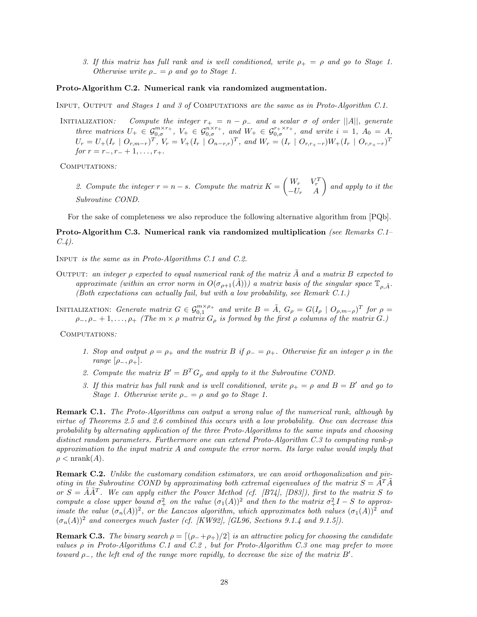*3. If this matrix has full rank and is well conditioned, write*  $\rho_{+} = \rho$  *and go to Stage 1. Otherwise write*  $\rho_-=\rho$  *and go to Stage 1.* 

#### **Proto-Algorithm C.2. Numerical rank via randomized augmentation.**

Input, Output *and Stages 1 and 3 of* Computations *are the same as in Proto-Algorithm C.1.*

INITIALIZATION: Compute the integer  $r_+ = n - \rho_-$  and a scalar  $\sigma$  of order  $||A||$ , generate three matrices  $U_+ \in \mathcal{G}_{0,\sigma}^{m \times r_+}$ ,  $V_+ \in \mathcal{G}_{0,\sigma}^{n \times r_+}$ , and  $W_+ \in \mathcal{G}_{0,\sigma}^{r_+ \times r_+}$ , and write  $i = 1$ ,  $A_0 = A$ ,  $U_r = U_+(I_r \mid O_{r,m-r})^T$ ,  $V_r = V_+(I_r \mid O_{n-r,r})^T$ , and  $W_r = (I_r \mid O_{r,r_+-r})W_+(I_r \mid O_{r,r_+-r})^T$ *for*  $r = r_-, r_- + 1, \ldots, r_+$ .

Computations*:*

*2. Compute the integer*  $r = n - s$ *. Compute the matrix*  $K = \begin{pmatrix} W_r & V_r^T \\ -U_r & A \end{pmatrix}$ - *and apply to it the Subroutine COND.*

For the sake of completeness we also reproduce the following alternative algorithm from [PQb].

**Proto-Algorithm C.3. Numerical rank via randomized multiplication** *(see Remarks C.1– C.4).*

Input *is the same as in Proto-Algorithms C.1 and C.2.*

Output: *an integer ρ expected to equal numerical rank of the matrix A*˜ *and a matrix B expected to approximate (within an error norm in*  $O(\sigma_{\rho+1}(\tilde{A})))$  *a matrix basis of the singular space*  $\mathbb{T}_{\rho,\tilde{A}}$ *. (Both expectations can actually fail, but with a low probability, see Remark C.1.)*

INITIALIZATION: *Generate matrix*  $G \in \mathcal{G}_{0,1}^{m \times \rho_+}$  and write  $B = \tilde{A}$ ,  $G_{\rho} = G(I_{\rho} \mid O_{\rho,m-\rho})^T$  for  $\rho =$  $\rho$ <sub>−</sub>*,* $\rho$ <sub>−</sub> + 1*,...,* $\rho$ <sub>+</sub> *(The m* ×  $\rho$  *matrix*  $G$ <sub> $\rho$  *is formed by the first*  $\rho$  *columns of the matrix*  $G$ *.)*</sub>

Computations*:*

- *1. Stop and output*  $\rho = \rho_+$  *and the matrix*  $B$  *if*  $\rho_- = \rho_+$ *. Otherwise fix an integer*  $\rho$  *in the range*  $[\rho_-, \rho_+]$ *.*
- 2. Compute the matrix  $B' = B^T G_{\rho}$  and apply to it the Subroutine COND.
- *3. If this matrix has full rank and is well conditioned, write*  $\rho_{+} = \rho$  *and*  $B = B'$  *and go to Stage 1. Otherwise write*  $\rho = \rho$  *and go to Stage 1.*

**Remark C.1.** *The Proto-Algorithms can output a wrong value of the numerical rank, although by virtue of Theorems 2.5 and 2.6 combined this occurs with a low probability. One can decrease this probability by alternating application of the three Proto-Algorithms to the same inputs and choosing distinct random parameters. Furthermore one can extend Proto-Algorithm C.3 to computing rank-ρ approximation to the input matrix A and compute the error norm. Its large value would imply that*  $\rho$  < nrank $(A)$ *.* 

**Remark C.2.** *Unlike the customary condition estimators, we can avoid orthogonalization and pivoting in the Subroutine COND by approximating both extremal eigenvalues of the matrix*  $S = \tilde{A}^T \tilde{A}$ *or*  $S = \tilde{A}\tilde{A}^T$ . We can apply either the Power Method (cf. [B74], [D83]), first to the matrix S to *compute a close upper bound*  $\sigma^2$  *on the value*  $(\sigma_1(A))^2$  *and then to the matrix*  $\sigma^2 + I - S$  *to approximate the value*  $(\sigma_n(A))^2$ , *or the Lanczos algorithm, which approximates both values*  $(\sigma_1(A))^2$  *and*  $(\sigma_n(A))^2$  and converges much faster (cf. [KW92], [GL96, Sections 9.1.4 and 9.1.5]).

**Remark C.3.** *The binary search*  $\rho = \left[\left(\rho_{-}+\rho_{+}\right)/2\right]$  *is an attractive policy for choosing the candidate values ρ in Proto-Algorithms C.1 and C.2 , but for Proto-Algorithm C.3 one may prefer to move toward ρ*−*, the left end of the range more rapidly, to decrease the size of the matrix B .*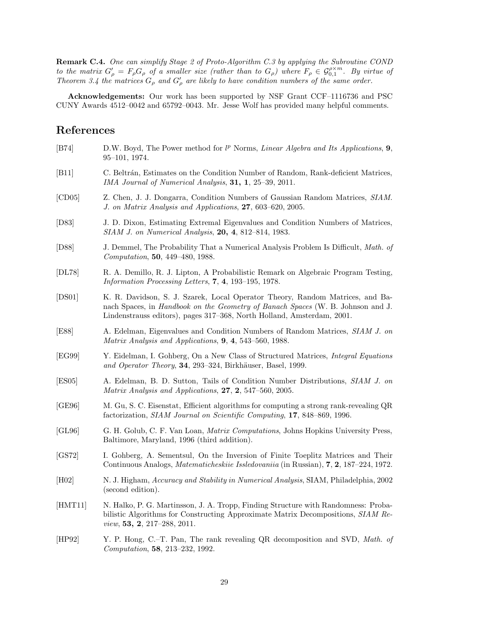**Remark C.4.** *One can simplify Stage 2 of Proto-Algorithm C.3 by applying the Subroutine COND to the matrix*  $G'_{\rho} = F_{\rho}G_{\rho}$  *of a smaller size (rather than to*  $G_{\rho}$ ) where  $F_{\rho} \in \mathcal{G}_{0,1}^{\rho \times m}$ . By virtue of *Theorem 3.4 the matrices*  $G_{\rho}$  *and*  $G'_{\rho}$  *are likely to have condition numbers of the same order.* 

**Acknowledgements:** Our work has been supported by NSF Grant CCF–1116736 and PSC CUNY Awards 4512–0042 and 65792–0043. Mr. Jesse Wolf has provided many helpful comments.

# **References**

| [B74]   | D.W. Boyd, The Power method for $l^p$ Norms, <i>Linear Algebra and Its Applications</i> , 9,<br>$95-101, 1974.$                                                                                                                            |
|---------|--------------------------------------------------------------------------------------------------------------------------------------------------------------------------------------------------------------------------------------------|
| [B11]   | C. Beltrán, Estimates on the Condition Number of Random, Rank-deficient Matrices,<br>IMA Journal of Numerical Analysis, 31, 1, 25-39, 2011.                                                                                                |
| [CD05]  | Z. Chen, J. J. Dongarra, Condition Numbers of Gaussian Random Matrices, SIAM.<br>J. on Matrix Analysis and Applications, 27, 603-620, 2005.                                                                                                |
| [D83]   | J. D. Dixon, Estimating Extremal Eigenvalues and Condition Numbers of Matrices,<br><i>SIAM J. on Numerical Analysis</i> , <b>20, 4</b> , 812–814, 1983.                                                                                    |
| [D88]   | J. Demmel, The Probability That a Numerical Analysis Problem Is Difficult, Math. of<br>Computation, 50, 449-480, 1988.                                                                                                                     |
| [DL78]  | R. A. Demillo, R. J. Lipton, A Probabilistic Remark on Algebraic Program Testing,<br>Information Processing Letters, 7, 4, 193-195, 1978.                                                                                                  |
| [DS01]  | K. R. Davidson, S. J. Szarek, Local Operator Theory, Random Matrices, and Ba-<br>nach Spaces, in Handbook on the Geometry of Banach Spaces (W. B. Johnson and J.<br>Lindenstrauss editors), pages 317–368, North Holland, Amsterdam, 2001. |
| [E88]   | A. Edelman, Eigenvalues and Condition Numbers of Random Matrices, SIAM J. on<br>Matrix Analysis and Applications, 9, 4, 543-560, 1988.                                                                                                     |
| [EG99]  | Y. Eidelman, I. Gohberg, On a New Class of Structured Matrices, Integral Equations<br>and Operator Theory, 34, 293-324, Birkhäuser, Basel, 1999.                                                                                           |
| [ES05]  | A. Edelman, B. D. Sutton, Tails of Condition Number Distributions, SIAM J. on<br>Matrix Analysis and Applications, 27, 2, 547-560, 2005.                                                                                                   |
| [GE96]  | M. Gu, S. C. Eisenstat, Efficient algorithms for computing a strong rank-revealing QR<br>factorization, SIAM Journal on Scientific Computing, 17, 848-869, 1996.                                                                           |
| [GL96]  | G. H. Golub, C. F. Van Loan, <i>Matrix Computations</i> , Johns Hopkins University Press,<br>Baltimore, Maryland, 1996 (third addition).                                                                                                   |
| [GS72]  | I. Gohberg, A. Sementsul, On the Inversion of Finite Toeplitz Matrices and Their<br>Continuous Analogs, <i>Matematicheskiie Issledovaniia</i> (in Russian), <b>7, 2</b> , 187–224, 1972.                                                   |
| [H02]   | N. J. Higham, Accuracy and Stability in Numerical Analysis, SIAM, Philadelphia, 2002<br>(second edition).                                                                                                                                  |
| [HMT11] | N. Halko, P. G. Martinsson, J. A. Tropp, Finding Structure with Randomness: Proba-<br>bilistic Algorithms for Constructing Approximate Matrix Decompositions, SIAM Re-<br>view, 53, 2, 217-288, 2011.                                      |
| [HP92]  | Y. P. Hong, C.–T. Pan, The rank revealing QR decomposition and SVD, Math. of<br>Computation, 58, 213-232, 1992.                                                                                                                            |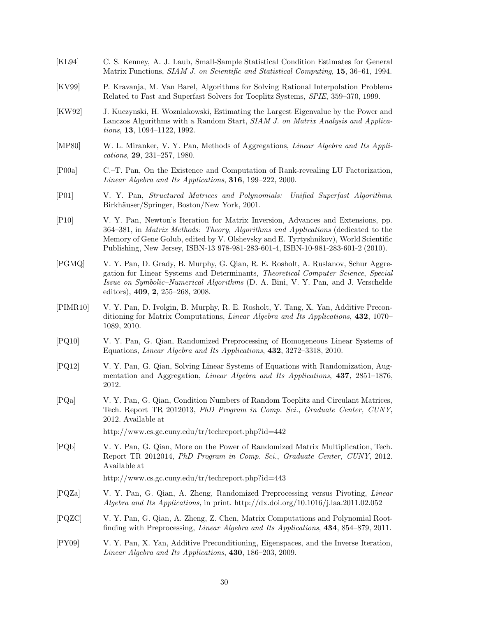- [KL94] C. S. Kenney, A. J. Laub, Small-Sample Statistical Condition Estimates for General Matrix Functions, *SIAM J. on Scientific and Statistical Computing*, **15**, 36–61, 1994.
- [KV99] P. Kravanja, M. Van Barel, Algorithms for Solving Rational Interpolation Problems Related to Fast and Superfast Solvers for Toeplitz Systems, *SPIE*, 359–370, 1999.
- [KW92] J. Kuczynski, H. Wozniakowski, Estimating the Largest Eigenvalue by the Power and Lanczos Algorithms with a Random Start, *SIAM J. on Matrix Analysis and Applications*, **13**, 1094–1122, 1992.
- [MP80] W. L. Miranker, V. Y. Pan, Methods of Aggregations, *Linear Algebra and Its Applications*, **29**, 231–257, 1980.
- [P00a] C.–T. Pan, On the Existence and Computation of Rank-revealing LU Factorization, *Linear Algebra and Its Applications*, **316**, 199–222, 2000.
- [P01] V. Y. Pan, *Structured Matrices and Polynomials: Unified Superfast Algorithms*, Birkhäuser/Springer, Boston/New York, 2001.
- [P10] V. Y. Pan, Newton's Iteration for Matrix Inversion, Advances and Extensions, pp. 364–381, in *Matrix Methods: Theory, Algorithms and Applications* (dedicated to the Memory of Gene Golub, edited by V. Olshevsky and E. Tyrtyshnikov), World Scientific Publishing, New Jersey, ISBN-13 978-981-283-601-4, ISBN-10-981-283-601-2 (2010).
- [PGMQ] V. Y. Pan, D. Grady, B. Murphy, G. Qian, R. E. Rosholt, A. Ruslanov, Schur Aggregation for Linear Systems and Determinants, *Theoretical Computer Science*, *Special Issue on Symbolic–Numerical Algorithms* (D. A. Bini, V. Y. Pan, and J. Verschelde editors), **409**, **2**, 255–268, 2008.
- [PIMR10] V. Y. Pan, D. Ivolgin, B. Murphy, R. E. Rosholt, Y. Tang, X. Yan, Additive Preconditioning for Matrix Computations, *Linear Algebra and Its Applications*, **432**, 1070– 1089, 2010.
- [PQ10] V. Y. Pan, G. Qian, Randomized Preprocessing of Homogeneous Linear Systems of Equations, *Linear Algebra and Its Applications*, **432**, 3272–3318, 2010.
- [PQ12] V. Y. Pan, G. Qian, Solving Linear Systems of Equations with Randomization, Augmentation and Aggregation, *Linear Algebra and Its Applications*, **437**, 2851–1876, 2012.
- [PQa] V. Y. Pan, G. Qian, Condition Numbers of Random Toeplitz and Circulant Matrices, Tech. Report TR 2012013, *PhD Program in Comp. Sci.*, *Graduate Center, CUNY*, 2012. Available at

http://www.cs.gc.cuny.edu/tr/techreport.php?id=442

[PQb] V. Y. Pan, G. Qian, More on the Power of Randomized Matrix Multiplication, Tech. Report TR 2012014, *PhD Program in Comp. Sci.*, *Graduate Center, CUNY*, 2012. Available at

http://www.cs.gc.cuny.edu/tr/techreport.php?id=443

- [PQZa] V. Y. Pan, G. Qian, A. Zheng, Randomized Preprocessing versus Pivoting, *Linear Algebra and Its Applications*, in print. http://dx.doi.org/10.1016/j.laa.2011.02.052
- [PQZC] V. Y. Pan, G. Qian, A. Zheng, Z. Chen, Matrix Computations and Polynomial Rootfinding with Preprocessing, *Linear Algebra and Its Applications*, **434**, 854–879, 2011.
- [PY09] V. Y. Pan, X. Yan, Additive Preconditioning, Eigenspaces, and the Inverse Iteration, *Linear Algebra and Its Applications*, **430**, 186–203, 2009.